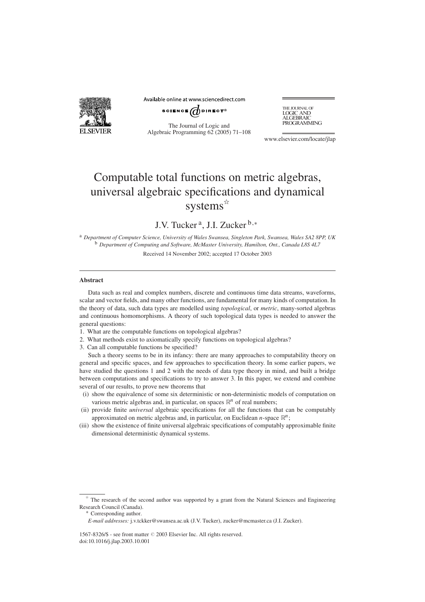

Available online at www.sciencedirect.com

SCIENCE  $\overrightarrow{a}$  direct<sup>®</sup>

The Journal of Logic and Algebraic Programming 62 (2005) 71–108 THE JOURNAL OF<br>LOGIC AND ALGEBRAIC<br>PROGRAMMING

www.elsevier.com/locate/jlap

# Computable total functions on metric algebras, universal algebraic specifications and dynamical systems $\mathbf{\hat{z}}$

J.V. Tucker a, J.I. Zucker <sup>b</sup>*,*<sup>∗</sup>

<sup>a</sup> *Department of Computer Science, University of Wales Swansea, Singleton Park, Swansea, Wales SA2 8PP, UK* <sup>b</sup> *Department of Computing and Software, McMaster University, Hamilton, Ont., Canada L8S 4L7* Received 14 November 2002; accepted 17 October 2003

#### **Abstract**

Data such as real and complex numbers, discrete and continuous time data streams, waveforms, scalar and vector fields, and many other functions, are fundamental for many kinds of computation. In the theory of data, such data types are modelled using *topological*, or *metric*, many-sorted algebras and continuous homomorphisms. A theory of such topological data types is needed to answer the general questions:

- 1. What are the computable functions on topological algebras?
- 2. What methods exist to axiomatically specify functions on topological algebras?
- 3. Can all computable functions be specified?

Such a theory seems to be in its infancy: there are many approaches to computability theory on general and specific spaces, and few approaches to specification theory. In some earlier papers, we have studied the questions 1 and 2 with the needs of data type theory in mind, and built a bridge between computations and specifications to try to answer 3. In this paper, we extend and combine several of our results, to prove new theorems that

- (i) show the equivalence of some six deterministic or non-deterministic models of computation on various metric algebras and, in particular, on spaces  $\mathbb{R}^n$  of real numbers;
- (ii) provide finite *universal* algebraic specifications for all the functions that can be computably approximated on metric algebras and, in particular, on Euclidean  $n$ -space  $\mathbb{R}^n$ ;
- (iii) show the existence of finite universal algebraic specifications of computably approximable finite dimensional deterministic dynamical systems.

1567-8326/\$ - see front matter 2003 Elsevier Inc. All rights reserved. doi:10.1016/j.jlap.2003.10.001

The research of the second author was supported by a grant from the Natural Sciences and Engineering Research Council (Canada).<br>\* Corresponding author.

*E-mail addresses:* j.v.tckker@swansea.ac.uk (J.V. Tucker), zucker@mcmaster.ca (J.I. Zucker).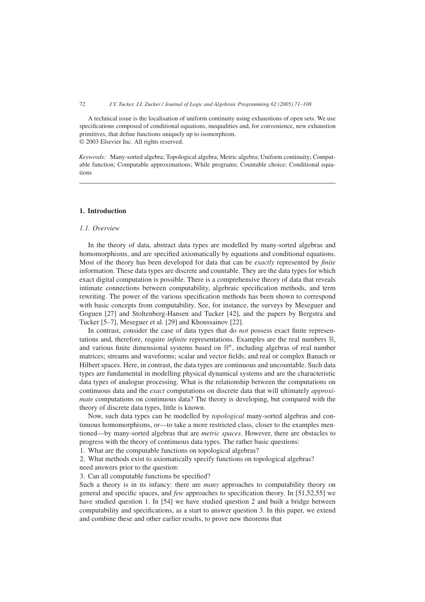A technical issue is the localisation of uniform continuity using exhaustions of open sets. We use specifications composed of conditional equations, inequalities and, for convenience, new exhaustion primitives, that define functions uniquely up to isomorphism. © 2003 Elsevier Inc. All rights reserved.

*Keywords:* Many-sorted algebra; Topological algebra; Metric algebra; Uniform continuity; Computable function; Computable approximations; While programs; Countable choice; Conditional equations

#### **1. Introduction**

#### *1.1. Overview*

In the theory of data, abstract data types are modelled by many-sorted algebras and homomorphisms, and are specified axiomatically by equations and conditional equations. Most of the theory has been developed for data that can be *exactly* represented by *finite* information. These data types are discrete and countable. They are the data types for which exact digital computation is possible. There is a comprehensive theory of data that reveals intimate connections between computability, algebraic specification methods, and term rewriting. The power of the various specification methods has been shown to correspond with basic concepts from computability. See, for instance, the surveys by Meseguer and Goguen [27] and Stoltenberg-Hansen and Tucker [42], and the papers by Bergstra and Tucker [5–7], Meseguer et al. [29] and Khoussainov [22].

In contrast, consider the case of data types that do *not* possess exact finite representations and, therefore, require *infinite* representations. Examples are the real numbers R, and various finite dimensional systems based on  $\mathbb{R}^n$ , including algebras of real number matrices; streams and waveforms; scalar and vector fields; and real or complex Banach or Hilbert spaces. Here, in contrast, the data types are continuous and uncountable. Such data types are fundamental in modelling physical dynamical systems and are the characteristic data types of analogue processing. What is the relationship between the computations on continuous data and the *exact* computations on discrete data that will ultimately *approximate* computations on continuous data? The theory is developing, but compared with the theory of discrete data types, little is known.

Now, such data types can be modelled by *topological* many-sorted algebras and continuous homomorphisms, or––to take a more restricted class, closer to the examples mentioned––by many-sorted algebras that are *metric spaces*. However, there are obstacles to progress with the theory of continuous data types. The rather basic questions:

1. What are the computable functions on topological algebras?

2. What methods exist to axiomatically specify functions on topological algebras? need answers prior to the question:

3. Can all computable functions be specified?

Such a theory is in its infancy: there are *many* approaches to computability theory on general and specific spaces, and *few* approaches to specification theory. In [51,52,55] we have studied question 1. In [54] we have studied question 2 and built a bridge between computability and specifications, as a start to answer question 3. In this paper, we extend and combine these and other earlier results, to prove new theorems that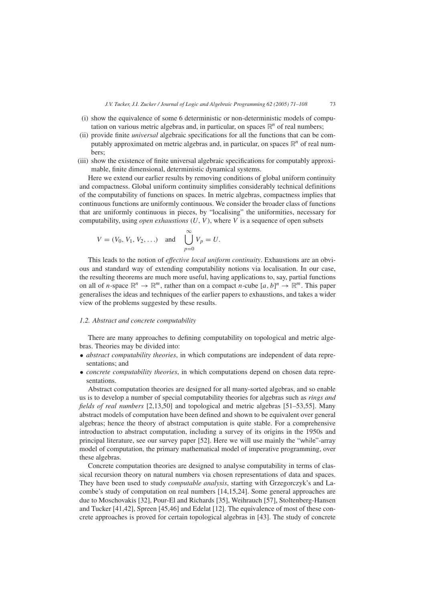- (i) show the equivalence of some 6 deterministic or non-deterministic models of computation on various metric algebras and, in particular, on spaces  $\mathbb{R}^n$  of real numbers;
- (ii) provide finite *universal* algebraic specifications for all the functions that can be computably approximated on metric algebras and, in particular, on spaces R*<sup>n</sup>* of real numbers;
- (iii) show the existence of finite universal algebraic specifications for computably approximable, finite dimensional, deterministic dynamical systems.

Here we extend our earlier results by removing conditions of global uniform continuity and compactness. Global uniform continuity simplifies considerably technical definitions of the computability of functions on spaces. In metric algebras, compactness implies that continuous functions are uniformly continuous. We consider the broader class of functions that are uniformly continuous in pieces, by "localising" the uniformities, necessary for computability, using *open exhaustions*  $(U, V)$ , where V is a sequence of open subsets

$$
V = (V_0, V_1, V_2, ...)
$$
 and  $\bigcup_{p=0}^{\infty} V_p = U.$ 

This leads to the notion of *effective local uniform continuity*. Exhaustions are an obvious and standard way of extending computability notions via localisation. In our case, the resulting theorems are much more useful, having applications to, say, partial functions on all of *n*-space  $\mathbb{R}^n \to \mathbb{R}^m$ , rather than on a compact *n*-cube  $[a, b]^n \to \mathbb{R}^m$ . This paper generalises the ideas and techniques of the earlier papers to exhaustions, and takes a wider view of the problems suggested by these results.

#### *1.2. Abstract and concrete computability*

There are many approaches to defining computability on topological and metric algebras. Theories may be divided into:

- *abstract computability theories*, in which computations are independent of data representations; and
- *concrete computability theories*, in which computations depend on chosen data representations.

Abstract computation theories are designed for all many-sorted algebras, and so enable us is to develop a number of special computability theories for algebras such as *rings and fields of real numbers* [2,13,50] and topological and metric algebras [51–53,55]. Many abstract models of computation have been defined and shown to be equivalent over general algebras; hence the theory of abstract computation is quite stable. For a comprehensive introduction to abstract computation, including a survey of its origins in the 1950s and principal literature, see our survey paper [52]. Here we will use mainly the "while"-array model of computation, the primary mathematical model of imperative programming, over these algebras.

Concrete computation theories are designed to analyse computability in terms of classical recursion theory on natural numbers via chosen representations of data and spaces. They have been used to study *computable analysis*, starting with Grzegorczyk's and Lacombe's study of computation on real numbers [14,15,24]. Some general approaches are due to Moschovakis [32], Pour-El and Richards [35], Weihrauch [57], Stoltenberg-Hansen and Tucker [41,42], Spreen [45,46] and Edelat [12]. The equivalence of most of these concrete approaches is proved for certain topological algebras in [43]. The study of concrete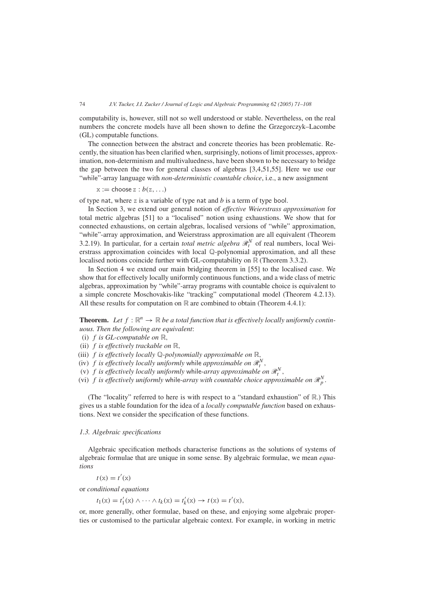computability is, however, still not so well understood or stable. Nevertheless, on the real numbers the concrete models have all been shown to define the Grzegorczyk–Lacombe (GL) computable functions.

The connection between the abstract and concrete theories has been problematic. Recently, the situation has been clarified when, surprisingly, notions of limit processes, approximation, non-determinism and multivaluedness, have been shown to be necessary to bridge the gap between the two for general classes of algebras [3,4,51,55]. Here we use our "while"-array language with *non-deterministic countable choice*, i.e., a new assignment

 $x :=$  choose  $z : b(z, \ldots)$ 

of type nat, where z is a variable of type nat and *b* is a term of type bool.

In Section 3, we extend our general notion of *effective Weierstrass approximation* for total metric algebras [51] to a "localised" notion using exhaustions. We show that for connected exhaustions, on certain algebras, localised versions of "while" approximation, "while"-array approximation, and Weierstrass approximation are all equivalent (Theorem 3.2.19). In particular, for a certain *total metric algebra*  $\mathcal{R}_t^N$  of real numbers, local Weierstrass approximation coincides with local Q-polynomial approximation, and all these localised notions coincide further with GL-computability on R (Theorem 3.3.2).

In Section 4 we extend our main bridging theorem in [55] to the localised case. We show that for effectively locally uniformly continuous functions, and a wide class of metric algebras, approximation by "while"-array programs with countable choice is equivalent to a simple concrete Moschovakis-like "tracking" computational model (Theorem 4.2.13). All these results for computation on  $\mathbb R$  are combined to obtain (Theorem 4.4.1):

**Theorem.** Let  $f: \mathbb{R}^n \to \mathbb{R}$  be a total function that is effectively locally uniformly contin*uous. Then the following are equivalent*:

*(*i*) f is GL-computable on* R*,*

- *(*ii*) f is effectively trackable on* R*,*
- *(*iii*) f is effectively locally* Q*-polynomially approximable on* R*,*

*(iv) f is effectively locally uniformly while approximable on*  $\mathcal{R}_t^N$ ,

*(v)*  $f$  *is effectively locally uniformly while-array approximable on*  $\mathcal{R}_t^N$ ,

(vi) *f is effectively uniformly while-array with countable choice approximable on*  $\mathcal{R}_p^N$ .

(The "locality" referred to here is with respect to a "standard exhaustion" of  $\mathbb{R}$ .) This gives us a stable foundation for the idea of a *locally computable function* based on exhaustions. Next we consider the specification of these functions.

#### *1.3. Algebraic specifications*

Algebraic specification methods characterise functions as the solutions of systems of algebraic formulae that are unique in some sense. By algebraic formulae, we mean *equations*

 $t(x) = t'(x)$ 

or *conditional equations*

 $t_1(x) = t'_1(x) \land \cdots \land t_k(x) = t'_k(x) \rightarrow t(x) = t'(x),$ 

or, more generally, other formulae, based on these, and enjoying some algebraic properties or customised to the particular algebraic context. For example, in working in metric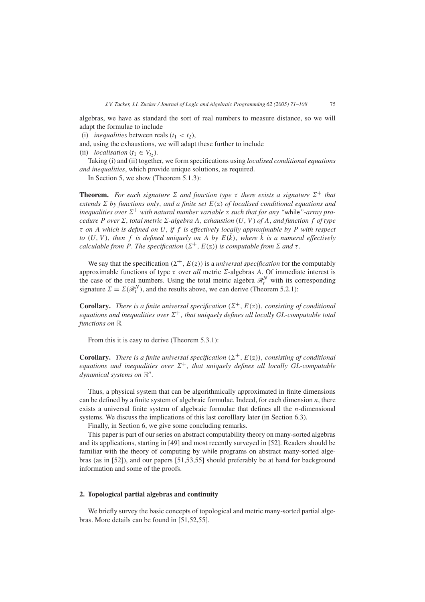algebras, we have as standard the sort of real numbers to measure distance, so we will adapt the formulae to include

(i) *inequalities* between reals  $(t_1 < t_2)$ ,

and, using the exhaustions, we will adapt these further to include

(ii) *localisation*  $(t_1 \in V_t)$ .

Taking (i) and (ii) together, we form specifications using *localised conditional equations and inequalities*, which provide unique solutions, as required.

In Section 5, we show (Theorem 5.1.3):

**Theorem.** For each signature  $\Sigma$  and function type  $\tau$  there exists a signature  $\Sigma^+$  that *extends*  $\Sigma$  *by functions only, and a finite set*  $E(z)$  *of localised conditional equations and inequalities over*  $\Sigma^+$  *with natural number variable* z *such that for any "while"-array procedure P over*  $\Sigma$ *, total metric*  $\Sigma$ *-algebra*  $A$ *, exhaustion*  $(U, V)$  *of*  $A$ *, and function*  $f$  *of type τ on A which is defined on U, if f is effectively locally approximable by P with respect to*  $(U, V)$ , then f is defined uniquely on A by  $E(\overline{k})$ , where  $\overline{k}$  is a numeral effectively *calculable from P. The specification*  $(\Sigma^+, E(z))$  *is computable from*  $\Sigma$  *and*  $\tau$ *.* 

We say that the specification  $(\Sigma^+, E(z))$  is a *universal specification* for the computably approximable functions of type  $\tau$  over *all* metric  $\Sigma$ -algebras *A*. Of immediate interest is the case of the real numbers. Using the total metric algebra  $\mathcal{R}_t^N$  with its corresponding signature  $\Sigma = \Sigma(\mathcal{R}_t^N)$ , and the results above, we can derive (Theorem 5.2.1):

**Corollary.** *There is a finite universal specification*  $(\Sigma^+, E(z))$ *, consisting of conditional equations and inequalities over*  $\Sigma^+$ , *that uniquely defines all locally GL-computable total functions on* R*.*

From this it is easy to derive (Theorem 5.3.1):

**Corollary.** *There is a finite universal specification*  $(\Sigma^+, E(z))$ *, consisting of conditional equations and inequalities over*  $\Sigma^+$ , *that uniquely defines all locally GL-computable dynamical systems on* R*n.*

Thus, a physical system that can be algorithmically approximated in finite dimensions can be defined by a finite system of algebraic formulae. Indeed, for each dimension *n*, there exists a universal finite system of algebraic formulae that defines all the *n*-dimensional systems. We discuss the implications of this last corolllary later (in Section 6.3).

Finally, in Section 6, we give some concluding remarks.

This paper is part of our series on abstract computability theory on many-sorted algebras and its applications, starting in [49] and most recently surveyed in [52]. Readers should be familiar with the theory of computing by while programs on abstract many-sorted algebras (as in [52]), and our papers [51,53,55] should preferably be at hand for background information and some of the proofs.

# **2. Topological partial algebras and continuity**

We briefly survey the basic concepts of topological and metric many-sorted partial algebras. More details can be found in [51,52,55].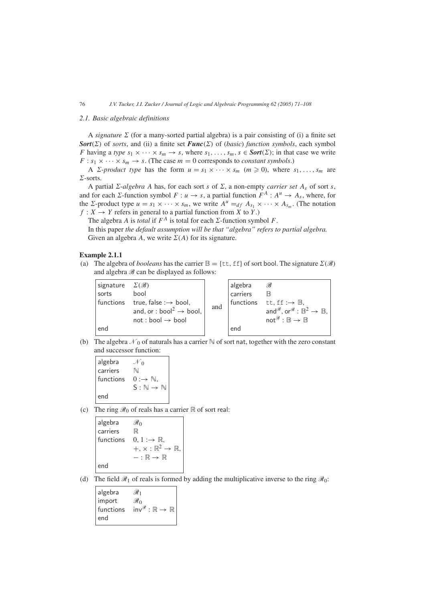# *2.1. Basic algebraic definitions*

A *signature*  $\Sigma$  (for a many-sorted partial algebra) is a pair consisting of (i) a finite set *Sort*( $\Sigma$ ) of *sorts*, and (ii) a finite set *Func*( $\Sigma$ ) of (*basic*) *function symbols*, each symbol *F* having a *type*  $s_1 \times \cdots \times s_m \rightarrow s$ , where  $s_1, \ldots, s_m$ ,  $s \in \text{Sort}(\Sigma)$ ; in that case we write  $F: s_1 \times \cdots \times s_m \rightarrow s$ . (The case  $m = 0$  corresponds to *constant symbols*.)

A *Z*-*product type* has the form  $u = s_1 \times \cdots \times s_m$  ( $m \ge 0$ ), where  $s_1, \ldots, s_m$  are  $\Sigma$ -sorts.

A partial  $\Sigma$ -*algebra A* has, for each sort *s* of  $\Sigma$ , a non-empty *carrier set*  $A_s$  of sort *s*, and for each  $\Sigma$ -function symbol  $F: u \to s$ , a partial function  $F^A: A^u \to A_s$ , where, for the  $\Sigma$ -product type  $u = s_1 \times \cdots \times s_m$ , we write  $A^u =_{df} A_{s_1} \times \cdots \times A_{s_m}$ . (The notation  $f: X \to Y$  refers in general to a partial function from *X* to *Y*.)

The algebra *A* is *total* if  $F^A$  is total for each  $\Sigma$ -function symbol *F*.

In this paper *the default assumption will be that "algebra" refers to partial algebra.* Given an algebra *A*, we write  $\Sigma(A)$  for its signature.

# **Example 2.1.1**

(a) The algebra of *booleans* has the carrier  $\mathbb{B} = \{\text{tt}, \text{ff}\}$  of sort bool. The signature  $\Sigma(\mathscr{B})$ and algebra  $\mathscr{B}$  can be displayed as follows:

| signature | $\mathcal{L}(\mathscr{B})$                      |     | algebra  | B                                                                    |
|-----------|-------------------------------------------------|-----|----------|----------------------------------------------------------------------|
| sorts     | bool                                            |     | carriers | R                                                                    |
|           | functions true, false $\rightarrow$ bool,       |     |          | functions tt, $ff \rightarrow \mathbb{B}$ ,                          |
|           | and, or : bool <sup>2</sup> $\rightarrow$ bool, | and |          | and $\mathscr{B}$ , or $\mathscr{B} : \mathbb{B}^2 \to \mathbb{B}$ , |
|           | $not : bool \rightarrow bool$                   |     |          | $not^{\mathscr{B}}:\mathbb{B}\to\mathbb{B}$                          |
| end       |                                                 |     | end      |                                                                      |

(b) The algebra  $\mathcal{N}_0$  of naturals has a carrier  $\mathbb N$  of sort nat, together with the zero constant and successor function:

algebra  $\mathcal{N}_0$ carriers N functions  $0 : \rightarrow \mathbb{N}$ ,  $S : \mathbb{N} \to \mathbb{N}$ end

(c) The ring  $\mathcal{R}_0$  of reals has a carrier  $\mathbb R$  of sort real:

algebra  $\mathcal{R}_0$ carriers R functions  $0, 1 \rightarrow \mathbb{R}$ ,  $+$ ,  $\times$  :  $\mathbb{R}^2 \rightarrow \mathbb{R}$  $-:\mathbb{R}\to\mathbb{R}$ end

(d) The field  $\mathcal{R}_1$  of reals is formed by adding the multiplicative inverse to the ring  $\mathcal{R}_0$ :

| algebra   | $\mathscr{R}_1$                             |
|-----------|---------------------------------------------|
| import    | $\mathscr{R}_0$                             |
| functions | $inv^{\mathscr{R}}:\mathbb{R}\to\mathbb{R}$ |
| end       |                                             |
|           |                                             |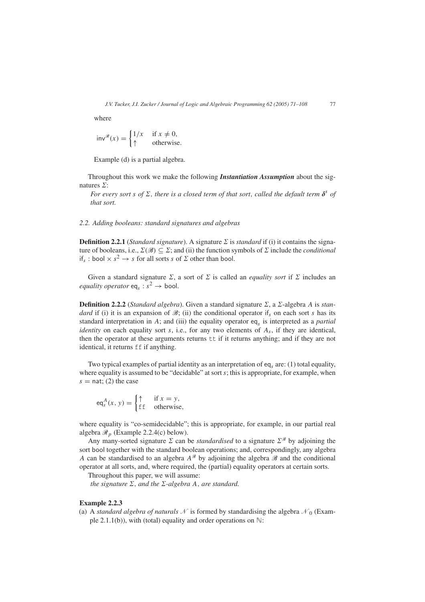where

$$
inv^{\mathcal{R}}(x) = \begin{cases} 1/x & \text{if } x \neq 0, \\ \uparrow & \text{otherwise.} \end{cases}
$$

Example (d) is a partial algebra.

Throughout this work we make the following *Instantiation Assumption* about the signatures  $\Sigma$ :

*For every sort s of*  $\Sigma$ *, there is a closed term of that sort, called the default term*  $\delta^s$  *of that sort.*

## *2.2. Adding booleans: standard signatures and algebras*

**Definition 2.2.1** (*Standard signature*). A signature  $\Sigma$  is *standard* if (i) it contains the signature of booleans, i.e.,  $\Sigma(\mathscr{B}) \subseteq \Sigma$ ; and (ii) the function symbols of  $\Sigma$  include the *conditional* if<sub>s</sub> : bool  $\times$   $s^2 \rightarrow s$  for all sorts *s* of  $\Sigma$  other than bool.

Given a standard signature  $\Sigma$ , a sort of  $\Sigma$  is called an *equality sort* if  $\Sigma$  includes an *equality operator* eq<sub>s</sub> :  $s^2 \rightarrow$  bool.

**Definition 2.2.2** (*Standard algebra*). Given a standard signature  $\Sigma$ , a  $\Sigma$ -algebra *A* is *standard* if (i) it is an expansion of  $\mathscr{B}$ ; (ii) the conditional operator if, on each sort *s* has its standard interpretation in *A*; and (iii) the equality operator eq*<sup>s</sup>* is interpreted as a *partial identity* on each equality sort *s*, i.e., for any two elements of *As*, if they are identical, then the operator at these arguments returns tt if it returns anything; and if they are not identical, it returns ff if anything.

Two typical examples of partial identity as an interpretation of eq*<sup>s</sup>* are: (1) total equality, where equality is assumed to be "decidable" at sort *s*; this is appropriate, for example, when  $s =$ nat; (2) the case

$$
eq_s^A(x, y) = \begin{cases} \uparrow & \text{if } x = y, \\ \text{ff} & \text{otherwise,} \end{cases}
$$

where equality is "co-semidecidable"; this is appropriate, for example, in our partial real algebra  $\mathcal{R}_p$  (Example 2.2.4(c) below).

Any many-sorted signature  $\Sigma$  can be *standardised* to a signature  $\Sigma^{\mathscr{B}}$  by adjoining the sort bool together with the standard boolean operations; and, correspondingly, any algebra *A* can be standardised to an algebra  $A^{\mathscr{B}}$  by adjoining the algebra  $\mathscr{B}$  and the conditional operator at all sorts, and, where required, the (partial) equality operators at certain sorts.

Throughout this paper, we will assume:

*the signature*  $\Sigma$ *, and the*  $\Sigma$ *-algebra A, are standard.* 

# **Example 2.2.3**

(a) A *standard algebra of naturals*  $N$  is formed by standardising the algebra  $\mathcal{N}_0$  (Example 2.1.1(b)), with (total) equality and order operations on  $\mathbb{N}$ :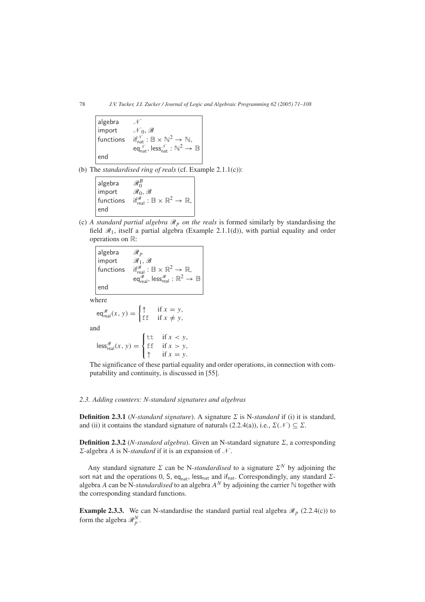algebra  $\mathcal N$  $\mathcal{N}_0, \mathscr{B}$ functions  $\mathbb{R}^N$  :  $\mathbb{B} \times \mathbb{N}^2 \to \mathbb{N}$ ,  $\operatorname{\sf eq}^{\mathscr N}_{\operatorname{\sf nat}},\operatorname{\sf less}_{\operatorname{\sf nat}}^{\mathscr N}:\mathbb{N}^2\to\mathbb{B}$ end

(b) The *standardised ring of reals* (cf. Example 2.1.1(c)):

| algebra          | $\mathcal{R}_{0}^{B}$                                                                 |
|------------------|---------------------------------------------------------------------------------------|
| import           | $\mathscr{R}_0, \mathscr{B}$                                                          |
| functions<br>end | if $_{\text{real}}^{\mathscr{R}}$ : $\mathbb{B} \times \mathbb{R}^2 \to \mathbb{R}$ , |

(c) *A standard partial algebra*  $\mathcal{R}_p$  *on the reals* is formed similarly by standardising the field  $\mathcal{R}_1$ , itself a partial algebra (Example 2.1.1(d)), with partial equality and order operations on R:

algebra  $\mathscr{R}_p$ import  $\mathscr{R}_1, \mathscr{B}$ functions  $\mathbb{R}^2$  :  $\mathbb{B} \times \mathbb{R}^2 \to \mathbb{R}$ , eq $\overset{\mathscr{R}}{\mathscr{R}}_{\mathsf{real}}$ , less $\overset{\mathscr{R}}{\mathscr{R}}$  :  $\mathbb{R}^2 \to \mathbb{B}$ end

where

$$
\begin{aligned}\n\mathsf{eq}_{\mathsf{real}}^{\mathcal{R}}(x, y) &= \begin{cases}\n\uparrow & \text{if } x = y, \\
\text{f f} & \text{if } x \neq y,\n\end{cases} \\
\mathsf{des}_{\mathsf{real}}^{\mathcal{R}}(x, y) &= \begin{cases}\n\text{t t} & \text{if } x < y, \\
\text{f f} & \text{if } x > y,\n\end{cases}\n\end{aligned}
$$

an

 $\mathbf{I}$ if  $x = y$ . The significance of these partial equality and order operations, in connection with computability and continuity, is discussed in [55].

### *2.3. Adding counters: N-standard signatures and algebras*

**Definition 2.3.1** (*N-standard signature*). A signature  $\Sigma$  is N-*standard* if (i) it is standard, and (ii) it contains the standard signature of naturals (2.2.4(a)), i.e.,  $\Sigma(\mathcal{N}) \subseteq \Sigma$ .

**Definition 2.3.2** (*N-standard algebra*). Given an N-standard signature  $\Sigma$ , a corresponding  $\Sigma$ -algebra *A* is N-*standard* if it is an expansion of N.

Any standard signature  $\Sigma$  can be N-*standardised* to a signature  $\Sigma^N$  by adjoining the sort nat and the operations 0, S, eq<sub>nat</sub>, less<sub>nat</sub> and if<sub>nat</sub>. Correspondingly, any standard  $\Sigma$ algebra *A* can be N-*standardised* to an algebra  $A^N$  by adjoining the carrier  $\mathbb N$  together with the corresponding standard functions.

**Example 2.3.3.** We can N-standardise the standard partial real algebra  $\mathcal{R}_p$  (2.2.4(c)) to form the algebra  $\mathcal{R}_p^N$ .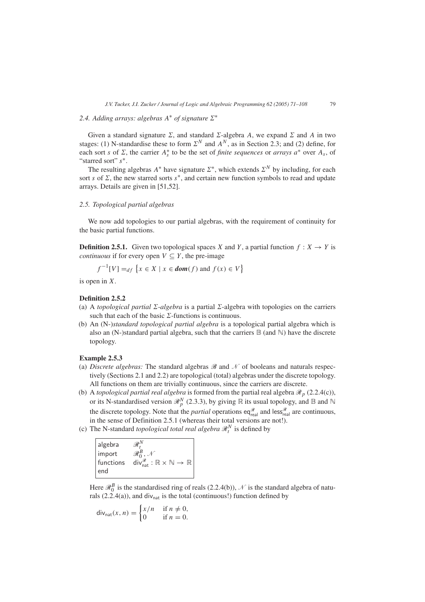# 2.4. Adding arrays: algebras  $A^*$  of signature  $\Sigma^*$

Given a standard signature  $\Sigma$ , and standard  $\Sigma$ -algebra *A*, we expand  $\Sigma$  and *A* in two stages: (1) N-standardise these to form  $\Sigma^N$  and  $A^N$ , as in Section 2.3; and (2) define, for each sort *s* of  $\Sigma$ , the carrier  $A_s^*$  to be the set of *finite sequences* or *arrays*  $a^*$  over  $A_s$ , of "starred sort" *s*∗.

The resulting algebras  $A^*$  have signature  $\Sigma^*$ , which extends  $\Sigma^N$  by including, for each sort *s* of  $\Sigma$ , the new starred sorts  $s^*$ , and certain new function symbols to read and update arrays. Details are given in [51,52].

## *2.5. Topological partial algebras*

We now add topologies to our partial algebras, with the requirement of continuity for the basic partial functions.

**Definition 2.5.1.** Given two topological spaces *X* and *Y*, a partial function  $f: X \rightarrow Y$  is *continuous* if for every open  $V \subseteq Y$ , the pre-image

$$
f^{-1}[V] =_{df} \{x \in X \mid x \in \text{dom}(f) \text{ and } f(x) \in V\}
$$

is open in *X*.

## **Definition 2.5.2**

- (a) A *topological partial*  $\Sigma$ -*algebra* is a partial  $\Sigma$ -algebra with topologies on the carriers such that each of the basic  $\Sigma$ -functions is continuous.
- (b) An (N-)*standard topological partial algebra* is a topological partial algebra which is also an (N-)standard partial algebra, such that the carriers  $\mathbb B$  (and  $\mathbb N$ ) have the discrete topology.

## **Example 2.5.3**

- (a) *Discrete algebras:* The standard algebras  $\mathcal{B}$  and  $\mathcal{N}$  of booleans and naturals respectively (Sections 2.1 and 2.2) are topological (total) algebras under the discrete topology. All functions on them are trivially continuous, since the carriers are discrete.
- (b) A *topological partial real algebra* is formed from the partial real algebra  $\mathcal{R}_p$  (2.2.4(c)), or its N-standardised version  $\mathcal{R}_p^N$  (2.3.3), by giving  $\mathbb R$  its usual topology, and  $\mathbb B$  and  $\mathbb N$ the discrete topology. Note that the *partial* operations  $eq_{real}^{\mathcal{R}}$  and less $_{real}^{\mathcal{R}}$  are continuous, in the sense of Definition 2.5.1 (whereas their total versions are not!).
- (c) The N-standard *topological total real algebra*  $\mathcal{R}_t^N$  is defined by

| algebra   |                                                                         |
|-----------|-------------------------------------------------------------------------|
| import    |                                                                         |
| functions | $div_{nat}^{\mathscr{R}} : \mathbb{R} \times \mathbb{N} \to \mathbb{R}$ |
| end       |                                                                         |

Here  $\mathcal{R}_0^B$  is the standardised ring of reals (2.2.4(b)),  $\mathcal{N}$  is the standard algebra of naturals (2.2.4(a)), and div<sub>nat</sub> is the total (continuous!) function defined by

$$
\text{div}_{\text{nat}}(x, n) = \begin{cases} x/n & \text{if } n \neq 0, \\ 0 & \text{if } n = 0. \end{cases}
$$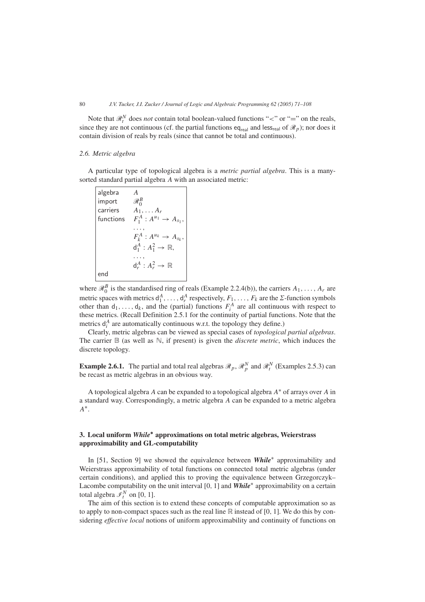Note that  $\mathcal{R}_t^N$  does *not* contain total boolean-valued functions " $\lt$ " or "=" on the reals, since they are not continuous (cf. the partial functions eq<sub>real</sub> and less<sub>real</sub> of  $\mathcal{R}_p$ ); nor does it contain division of reals by reals (since that cannot be total and continuous).

# *2.6. Metric algebra*

A particular type of topological algebra is a *metric partial algebra*. This is a manysorted standard partial algebra *A* with an associated metric:

|     | algebra $A$<br>import $\mathcal{R}_0^B$<br>carriers $A_1, \ldots A_r$<br>functions $F_1^A : A^{u_1} \rightarrow A_{s_1}$ , |
|-----|----------------------------------------------------------------------------------------------------------------------------|
|     |                                                                                                                            |
|     | $F_k^A: A^{u_k} \rightarrow A_{s_k},$                                                                                      |
|     | $d_1^A: A_1^2 \rightarrow \mathbb{R},$                                                                                     |
|     |                                                                                                                            |
|     | $d_r^A: A_r^2 \to \mathbb{R}$                                                                                              |
| end |                                                                                                                            |

where  $\mathcal{R}_0^B$  is the standardised ring of reals (Example 2.2.4(b)), the carriers  $A_1, \ldots, A_r$  are metric spaces with metrics  $d_1^A, \ldots, d_r^A$  respectively,  $F_1, \ldots, F_k$  are the  $\Sigma$ -function symbols other than  $d_1, \ldots, d_k$ , and the (partial) functions  $F_i^A$  are all continuous with respect to these metrics. (Recall Definition 2.5.1 for the continuity of partial functions. Note that the metrics  $d_i^A$  are automatically continuous w.r.t. the topology they define.)

Clearly, metric algebras can be viewed as special cases of *topological partial algebras*. The carrier  $\mathbb B$  (as well as  $\mathbb N$ , if present) is given the *discrete metric*, which induces the discrete topology.

**Example 2.6.1.** The partial and total real algebras  $\mathcal{R}_p$ ,  $\mathcal{R}_p^N$  and  $\mathcal{R}_t^N$  (Examples 2.5.3) can be recast as metric algebras in an obvious way.

A topological algebra *A* can be expanded to a topological algebra *A*<sup>∗</sup> of arrays over *A* in a standard way. Correspondingly, a metric algebra *A* can be expanded to a metric algebra *A*∗.

# **3. Local uniform** *While***∗ approximations on total metric algebras, Weierstrass approximability and GL-computability**

In [51, Section 9] we showed the equivalence between *While*<sup>∗</sup> approximability and Weierstrass approximability of total functions on connected total metric algebras (under certain conditions), and applied this to proving the equivalence between Grzegorczyk– Lacombe computability on the unit interval [0*,* 1] and *While*<sup>∗</sup> approximability on a certain total algebra  $\overline{\mathcal{I}}_t^N$  on [0, 1].

The aim of this section is to extend these concepts of computable approximation so as to apply to non-compact spaces such as the real line R instead of [0*,* 1]. We do this by considering *effective local* notions of uniform approximability and continuity of functions on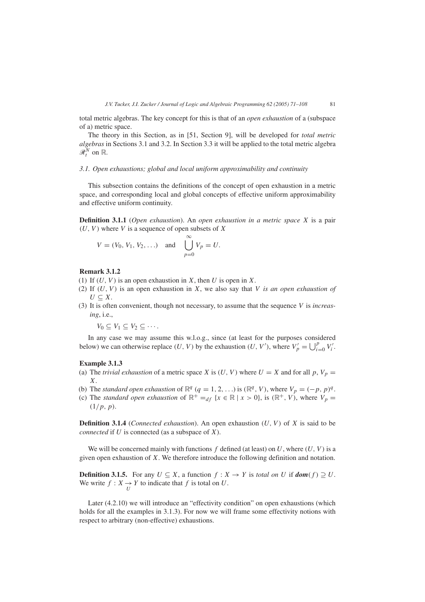total metric algebras. The key concept for this is that of an *open exhaustion* of a (subspace of a) metric space.

The theory in this Section, as in [51, Section 9], will be developed for *total metric algebras* in Sections 3.1 and 3.2. In Section 3.3 it will be applied to the total metric algebra  $\mathscr{R}^N_t$  on  $\mathbb{R}$ .

# *3.1. Open exhaustions; global and local uniform approximability and continuity*

This subsection contains the definitions of the concept of open exhaustion in a metric space, and corresponding local and global concepts of effective uniform approximability and effective uniform continuity.

**Definition 3.1.1** (*Open exhaustion*). An *open exhaustion in a metric space X* is a pair *(U, V )* where *V* is a sequence of open subsets of *X*

$$
V = (V_0, V_1, V_2, \ldots)
$$
 and  $\bigcup_{p=0}^{\infty} V_p = U.$ 

#### **Remark 3.1.2**

- (1) If *(U, V )* is an open exhaustion in *X*, then *U* is open in *X*.
- (2) If *(U, V )* is an open exhaustion in *X*, we also say that *V is an open exhaustion of U* ⊂ *X*.
- (3) It is often convenient, though not necessary, to assume that the sequence *V* is *increasing*, i.e.,

 $V_0 \subset V_1 \subset V_2 \subset \cdots$ 

In any case we may assume this w.l.o.g., since (at least for the purposes considered below) we can otherwise replace *(U, V)* by the exhaustion *(U, V')*, where  $V'_p = \bigcup_{i=0}^p V'_i$ .

#### **Example 3.1.3**

- (a) The *trivial exhaustion* of a metric space *X* is  $(U, V)$  where  $U = X$  and for all  $p, V_p =$ *X*.
- (b) The *standard open exhaustion* of  $\mathbb{R}^q$  ( $q = 1, 2, ...$ ) is  $(\mathbb{R}^q, V)$ , where  $V_p = (-p, p)^q$ .
- (c) The *standard open exhaustion* of  $\mathbb{R}^+ =_{df} \{x \in \mathbb{R} \mid x > 0\}$ , is  $(\mathbb{R}^+, V)$ , where  $V_p =$ *(*1*/p, p)*.

**Definition 3.1.4** (*Connected exhaustion*). An open exhaustion *(U, V )* of *X* is said to be *connected* if *U* is connected (as a subspace of *X*).

We will be concerned mainly with functions  $f$  defined (at least) on  $U$ , where  $(U, V)$  is a given open exhaustion of *X*. We therefore introduce the following definition and notation.

**Definition 3.1.5.** For any  $U \subseteq X$ , a function  $f : X \to Y$  is *total on*  $U$  if  $dom(f) \supseteq U$ . We write  $f: X \to Y$  to indicate that  $f$  is total on  $U$ .

Later (4.2.10) we will introduce an "effectivity condition" on open exhaustions (which holds for all the examples in 3.1.3). For now we will frame some effectivity notions with respect to arbitrary (non-effective) exhaustions.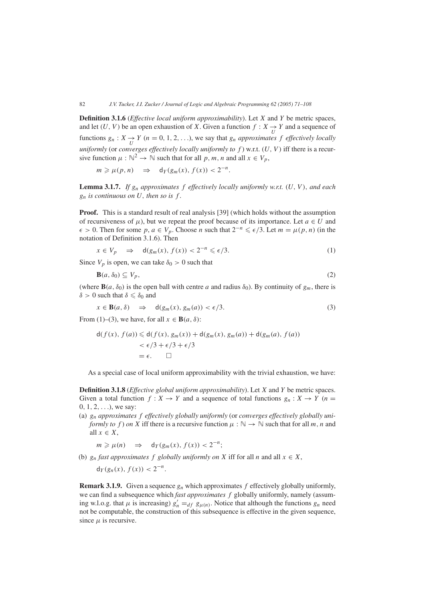**Definition 3.1.6** (*Effective local uniform approximability*). Let *X* and *Y* be metric spaces, and let  $(U, V)$  be an open exhaustion of *X*. Given a function  $f: X \rightarrow Y$  and a sequence of functions  $g_n: X \to Y$  ( $n = 0, 1, 2, ...$ ), we say that  $g_n$  *approximates*  $f$  *effectively locally uniformly* (or *converges effectively locally uniformly to f* ) w.r.t. *(U, V )* iff there is a recursive function  $\mu : \mathbb{N}^2 \to \mathbb{N}$  such that for all  $p, m, n$  and all  $x \in V_p$ ,

$$
m \ge \mu(p, n) \Rightarrow d_Y(g_m(x), f(x)) < 2^{-n}.
$$

**Lemma 3.1.7.** *If gn approximates f effectively locally uniformly w.r.t. (U, V ), and each gn is continuous on U, then so is f .*

**Proof.** This is a standard result of real analysis [39] (which holds without the assumption of recursiveness of  $\mu$ ), but we repeat the proof because of its importance. Let  $a \in U$  and  $\epsilon$  > 0. Then for some *p*, *a* ∈ *V<sub>p</sub>*. Choose *n* such that  $2^{-n} \leq \epsilon/3$ . Let *m* =  $\mu(p, n)$  (in the notation of Definition 3.1.6). Then

$$
x \in V_p \quad \Rightarrow \quad \mathsf{d}(g_m(x), f(x)) < 2^{-n} \leq \epsilon/3. \tag{1}
$$

Since  $V_p$  is open, we can take  $\delta_0 > 0$  such that

$$
\mathbf{B}(a,\delta_0) \subseteq V_p,\tag{2}
$$

(where **B** $(a, \delta_0)$  is the open ball with centre *a* and radius  $\delta_0$ ). By continuity of  $g_m$ , there is  $\delta > 0$  such that  $\delta \leq \delta_0$  and

$$
x \in \mathbf{B}(a,\delta) \quad \Rightarrow \quad \mathsf{d}(g_m(x), g_m(a)) < \epsilon/3. \tag{3}
$$

From (1)–(3), we have, for all  $x \in B(a, \delta)$ :

$$
d(f(x), f(a)) \le d(f(x), g_m(x)) + d(g_m(x), g_m(a)) + d(g_m(a), f(a))
$$
  

$$
< \epsilon/3 + \epsilon/3 + \epsilon/3
$$
  

$$
= \epsilon. \quad \Box
$$

As a special case of local uniform approximability with the trivial exhaustion, we have:

**Definition 3.1.8** (*Effective global uniform approximability*). Let *X* and *Y* be metric spaces. Given a total function  $f: X \to Y$  and a sequence of total functions  $g_n: X \to Y$  ( $n =$ 0*,* 1*,* 2*,...*), we say:

(a) *gn approximates f effectively globally uniformly* (or *converges effectively globally uniformly to f* ) *on X* iff there is a recursive function  $\mu : \mathbb{N} \to \mathbb{N}$  such that for all *m*, *n* and all  $x \in X$ ,

 $m \ge \mu(n)$   $\Rightarrow$   $d_Y(g_m(x), f(x)) < 2^{-n}$ ;

(b)  $g_n$  *fast approximates f globally uniformly on X* iff for all *n* and all  $x \in X$ ,

 $d_Y(g_n(x), f(x)) < 2^{-n}$ .

**Remark 3.1.9.** Given a sequence  $g_n$  which approximates  $f$  effectively globally uniformly, we can find a subsequence which *fast approximates f* globally uniformly, namely (assuming w.l.o.g. that  $\mu$  is increasing)  $g'_n =_{df} g_{\mu(n)}$ . Notice that although the functions  $g_n$  need not be computable, the construction of this subsequence is effective in the given sequence, since  $\mu$  is recursive.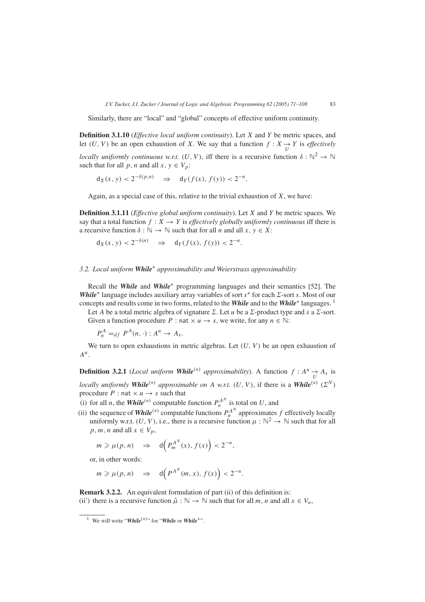Similarly, there are "local" and "global" concepts of effective uniform continuity.

**Definition 3.1.10** (*Effective local uniform continuity*). Let *X* and *Y* be metric spaces, and let  $(U, V)$  be an open exhaustion of *X*. We say that a function  $f: X \rightarrow Y$  is *effectively* 

*locally uniformly continuous w.r.t.*  $(U, V)$ , iff there is a recursive function  $\delta : \mathbb{N}^2 \to \mathbb{N}$ such that for all *p*, *n* and all  $x, y \in V_p$ :

 $d_X(x, y) < 2^{-\delta(p,n)} \implies d_Y(f(x), f(y)) < 2^{-n}.$ 

Again, as a special case of this, relative to the trivial exhaustion of *X*, we have:

**Definition 3.1.11** (*Effective global uniform continuity*). Let *X* and *Y* be metric spaces. We say that a total function  $f : X \to Y$  is *effectively globally uniformly continuous* iff there is a recursive function  $\delta : \mathbb{N} \to \mathbb{N}$  such that for all *n* and all  $x, y \in X$ :

$$
d_X(x, y) < 2^{-\delta(n)} \quad \Rightarrow \quad d_Y(f(x), f(y)) < 2^{-n}.
$$

# *3.2. Local uniform While*<sup>∗</sup> *approximability and Weierstrass approximability*

Recall the *While* and *While*<sup>∗</sup> programming languages and their semantics [52]. The *While*<sup>∗</sup> language includes auxiliary array variables of sort  $s$ <sup>∗</sup> for each  $\Sigma$ -sort *s*. Most of our concepts and results come in two forms, related to the *While* and to the *While*<sup>∗</sup> languages. <sup>1</sup>

Let *A* be a total metric algebra of signature  $\Sigma$ . Let *u* be a  $\Sigma$ -product type and *s* a  $\Sigma$ -sort. Given a function procedure *P* : nat  $\times u \rightarrow s$ , we write, for any  $n \in \mathbb{N}$ :

 $P_n^A =_{df} P^A(n, \cdot) : A^u \to A_s.$ 

We turn to open exhaustions in metric algebras. Let  $(U, V)$  be an open exhaustion of *Au*.

**Definition 3.2.1** (*Local uniform While*<sup>(\*)</sup> *approximability*). A function  $f : A^u \rightarrow A_s$  is *locally uniformly While*<sup>(\*)</sup> *approximable on A w.r.t.*  $(U, V)$ , if there is a **While**<sup>(\*)</sup>  $(\Sigma^N)$ procedure *P* : nat  $\times u \rightarrow s$  such that

- (i) for all *n*, the *While*<sup>(\*)</sup> computable function  $P_n^{A^N}$  is total on *U*, and
- (ii) the sequence of *While*<sup>(\*)</sup> computable functions  $P_n^{A^N}$  approximates *f* effectively locally uniformly w.r.t.  $(U, V)$ , i.e., there is a recursive function  $\mu : \mathbb{N}^2 \to \mathbb{N}$  such that for all  $p, m, n$  and all  $x \in V_p$ ,

$$
m \ge \mu(p, n) \Rightarrow d(P_m^{A^N}(x), f(x)) < 2^{-n},
$$

or, in other words:

$$
m \ge \mu(p, n) \Rightarrow d(P^{A^N}(m, x), f(x)) < 2^{-n}.
$$

**Remark 3.2.2.** An equivalent formulation of part (ii) of this definition is: (ii') there is a recursive function  $\hat{\mu} : \mathbb{N} \to \mathbb{N}$  such that for all *m*, *n* and all  $x \in V_n$ ,

<sup>1</sup> We will write "*While(*∗*)*" for "*While* or *While*∗".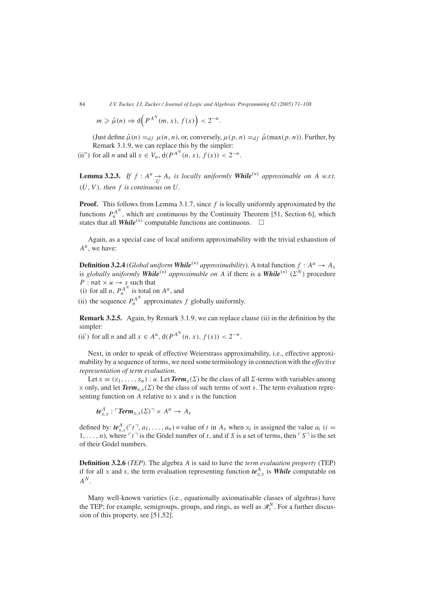$$
m \geqslant \hat{\mu}(n) \Rightarrow d\Big(P^{A^N}(m, x), f(x)\Big) < 2^{-n}.
$$

(Just define  $\hat{\mu}(n) =_{df} \mu(n, n)$ , or, conversely,  $\mu(p, n) =_{df} \hat{\mu}(\max(p, n))$ . Further, by Remark 3.1.9, we can replace this by the simpler:

(ii'') for all *n* and all  $x \in V_n$ ,  $d(P^{A^N}(n, x), f(x)) < 2^{-n}$ .

**Lemma 3.2.3.** *If*  $f : A^u \to A_s$  *is locally uniformly While<sup>(\*)</sup> <i>approximable on A w.r.t.*  $(U, V)$ *, then f is continuous on*  $U$ *.* 

**Proof.** This follows from Lemma 3.1.7, since *f* is locally uniformly approximated by the functions  $P_n^{A^N}$ , which are continuous by the Continuity Theorem [51, Section 6], which states that all *While*<sup>(\*)</sup> computable functions are continuous.  $\square$ 

Again, as a special case of local uniform approximability with the trivial exhaustion of  $A^u$ , we have:

**Definition 3.2.4** (*Global uniform While*<sup>(\*)</sup> *approximability*). A total function  $f : A^u \to A_s$ is *globally uniformly While*<sup>(\*)</sup> *approximable on A* if there is a **While**<sup>(\*)</sup> ( $\Sigma^N$ ) procedure *P* : nat  $\times$  *u*  $\rightarrow$  *s* such that

(i) for all *n*,  $P_n^{A^N}$  is total on  $A^u$ , and

(ii) the sequence  $P_n^{A^N}$  approximates  $f$  globally uniformly.

**Remark 3.2.5.** Again, by Remark 3.1.9, we can replace clause (ii) in the definition by the simpler:

(ii') for all *n* and all  $x \in A^u$ ,  $d(P^{A^N}(n, x), f(x)) < 2^{-n}$ .

Next, in order to speak of effective Weierstrass approximability, i.e., effective approximability by a sequence of terms, we need some terminology in connection with the *effective representation of term evaluation*.

Let  $x \equiv (x_1, \ldots, x_n) : u$ . Let *Term*<sub> $x$ </sub>( $\Sigma$ ) be the class of all  $\Sigma$ -terms with variables among x only, and let  $Term_{x,s}(\Sigma)$  be the class of such terms of sort *s*. The term evaluation representing function on *A* relative to x and *s* is the function

 $te_{\text{x},s}^{A}$ :  $\ulcorner \textit{Term}_{\text{x},s}(\Sigma) \urcorner \times A^u \rightarrow A_s$ 

defined by:  $te_{x,s}^A(\ulcorner t \urcorner, a_1, \ldots, a_n)$  = value of *t* in  $A_s$  when  $x_i$  is assigned the value  $a_i$  (*i* = 1,...,n), where  $\lceil t \rceil$  is the Gödel number of t, and if S is a set of terms, then  $\lceil S \rceil$  is the set of their Gödel numbers.

**Definition 3.2.6** (*TEP*). The algebra *A* is said to have the *term evaluation property* (TEP) if for all x and *s*, the term evaluation representing function  $te_{x,s}^A$  is *While* computable on *AN* .

Many well-known varieties (i.e., equationally axiomatisable classes of algebras) have the TEP; for example, semigroups, groups, and rings, as well as  $\mathcal{R}_t^N$ . For a further discussion of this property, see [51,52].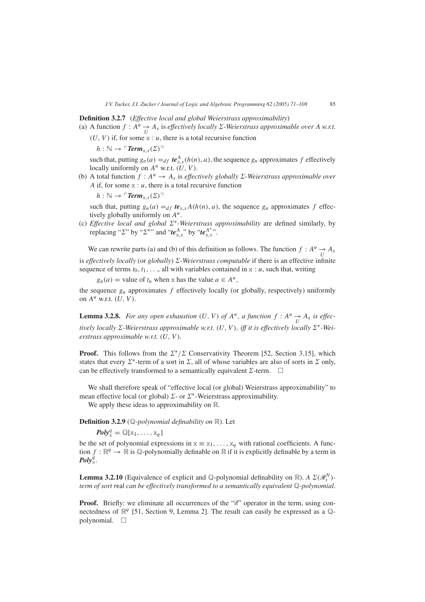## **Definition 3.2.7** (*Effective local and global Weierstrass approximability*)

- (a) A function  $f : A^u \to A_s$  is *effectively locally*  $\Sigma$ -Weierstrass approximable over  $A$  *w.r.t.* 
	- $(U, V)$  if, for some  $x : u$ , there is a total recursive function

 $h : \mathbb{N} \to \ulcorner \mathit{Term}_x$ ,  $(\Sigma)$ 

such that, putting  $g_n(a) =_{df} t e_{x,s}^A(h(n), a)$ , the sequence  $g_n$  approximates  $f$  effectively locally uniformly on  $A^u$  w.r.t.  $(U, V)$ .

(b) A total function  $f : A^u \to A_s$  is *effectively globally*  $\Sigma$ -Weierstrass approximable over *A* if, for some  $x : u$ , there is a total recursive function

 $h : \mathbb{N} \to \ulcorner \mathit{Term}_{X,S}(\Sigma) \urcorner$ 

such that, putting  $g_n(a) =_{df} t e_{x,s} A(h(n), a)$ , the sequence  $g_n$  approximates f effectively globally uniformly on *Au*.

(c) *Effective local and global* ∗-*Weierstrass approximability* are defined similarly, by replacing " $\Sigma$ " by " $\Sigma^*$ " and " $te_{X,S}^A$ " by " $te_{X,S}^{A^*}$ ".

We can rewrite parts (a) and (b) of this definition as follows. The function  $f : A^u \to A_s$ is *effectively locally* (or *globally*)  $\Sigma$ -Weierstrass computable if there is an effective infinite sequence of terms  $t_0, t_1, \ldots$ , all with variables contained in  $x : u$ , such that, writing

 $g_n(a)$  = value of  $t_n$  when x has the value  $a \in A^u$ ,

the sequence  $g_n$  approximates  $f$  effectively locally (or globally, respectively) uniformly on  $A^u$  w.r.t.  $(U, V)$ .

**Lemma 3.2.8.** For any open exhaustion  $(U, V)$  of  $A^u$ , a function  $f : A^u \rightarrow A_s$  is effec*tively locally*  $\Sigma$ -Weierstrass approximable w.r.t.  $(U, V)$ , *iff it is effectively locally*  $\Sigma^*$ -Wei*erstrass approximable w.r.t. (U, V ).*

**Proof.** This follows from the  $\Sigma^*/\Sigma$  Conservativity Theorem [52, Section 3.15], which states that every  $\Sigma^*$ -term of a sort in  $\Sigma$ , all of whose variables are also of sorts in  $\Sigma$  only, can be effectively transformed to a semantically equivalent  $\Sigma$ -term.  $\Box$ 

We shall therefore speak of "effective local (or global) Weierstrass approximability" to mean effective local (or global)  $\Sigma$ - or  $\Sigma^*$ -Weierstrass approximability.

We apply these ideas to approximability on R.

**Definition 3.2.9** (Q*-polynomial definability on* R). Let

 $\textit{Poly}_x^q = \mathbb{Q}[x_1, \ldots, x_q]$ 

be the set of polynomial expressions in  $x \equiv x_1, \ldots, x_q$  with rational coefficients. A function  $f : \mathbb{R}^q \to \mathbb{R}$  is Q-polynomially definable on  $\mathbb R$  if it is explicitly definable by a term in  $\boldsymbol{\mathit{Poly}}_{\mathbb{X}}^{\check{q}}$ .

**Lemma 3.2.10** (Equivalence of explicit and Q-polynomial definability on  $\mathbb{R}$ ). *A*  $\Sigma(\mathcal{R}_t^N)$ *term of sort* real *can be effectively transformed to a semantically equivalent* Q*-polynomial.*

**Proof.** Briefly: we eliminate all occurrences of the "if" operator in the term, using connectedness of  $\mathbb{R}^q$  [51, Section 9, Lemma 2]. The result can easily be expressed as a  $\mathbb{Q}$ polynomial*.*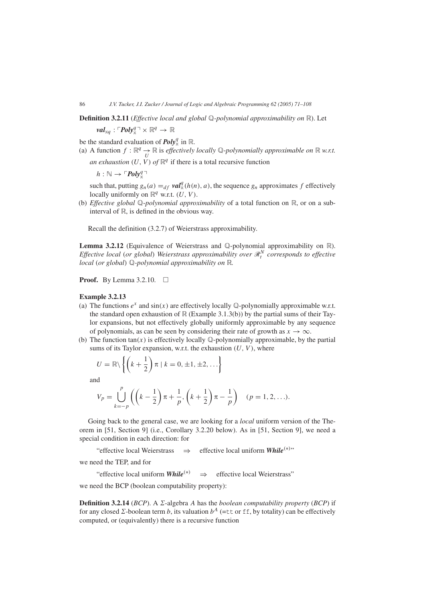**Definition 3.2.11** (*Effective local and global* Q*-polynomial approximability on* R). Let

 $\mathit{val}_{\mathit{xq}}: \ulcorner \mathit{Poly}_{\mathit{x}}^q \urcorner \times \mathbb{R}^q \rightarrow \mathbb{R}$ 

be the standard evaluation of  $\text{Poly}_x^q$  in  $\mathbb{R}$ .

(a) A function  $f : \mathbb{R}^q \to \mathbb{R}$  is *effectively locally*  $\mathbb{Q}$ -*polynomially approximable on*  $\mathbb{R}$  *w.r.t. an exhaustion*  $(U, V)$  *of*  $\mathbb{R}^q$  if there is a total recursive function

 $h : \mathbb{N} \to \ulcorner Poly^q_{\mathbb{X}}$ 

such that, putting  $g_n(a) =_{df} \textit{val}_x^q(h(n), a)$ , the sequence  $g_n$  approximates  $f$  effectively locally uniformly on  $\mathbb{R}^q$  w.r.t.  $(U, V)$ .

(b) *Effective global* Q-*polynomial approximability* of a total function on R, or on a subinterval of R, is defined in the obvious way.

Recall the definition (3.2.7) of Weierstrass approximability.

**Lemma 3.2.12** (Equivalence of Weierstrass and Q-polynomial approximability on R). *Effective local (or global) Weierstrass approximability over*  $\mathcal{R}_t^N$  *corresponds to effective local (or global)* Q*-polynomial approximability on* R*.*

**Proof.** By Lemma 3.2.10. □

## **Example 3.2.13**

- (a) The functions  $e^x$  and  $sin(x)$  are effectively locally Q-polynomially approximable w.r.t. the standard open exhaustion of  $\mathbb R$  (Example 3.1.3(b)) by the partial sums of their Taylor expansions, but not effectively globally uniformly approximable by any sequence of polynomials, as can be seen by considering their rate of growth as  $x \to \infty$ .
- (b) The function  $tan(x)$  is effectively locally  $\mathbb Q$ -polynomially approximable, by the partial sums of its Taylor expansion, w.r.t. the exhaustion *(U, V )*, where

$$
U = \mathbb{R} \setminus \left\{ \left( k + \frac{1}{2} \right) \pi \mid k = 0, \pm 1, \pm 2, \ldots \right\}
$$

and

$$
V_p = \bigcup_{k=-p}^{p} \left( \left( k - \frac{1}{2} \right) \pi + \frac{1}{p}, \left( k + \frac{1}{2} \right) \pi - \frac{1}{p} \right) \quad (p = 1, 2, \ldots).
$$

Going back to the general case, we are looking for a *local* uniform version of the Theorem in [51, Section 9] (i.e., Corollary 3.2.20 below). As in [51, Section 9], we need a special condition in each direction: for

"effective local Weierstrass ⇒ effective local uniform *While(*∗*)* "

we need the TEP, and for

"effective local uniform  $\textit{While}^{(*)} \Rightarrow$  effective local Weierstrass"

we need the BCP (boolean computability property):

**Definition 3.2.14** (*BCP*). A  $\Sigma$ -algebra *A* has the *boolean computability property* (*BCP*) if for any closed  $\Sigma$ -boolean term *b*, its valuation  $b^A$  (=tt or ff, by totality) can be effectively computed, or (equivalently) there is a recursive function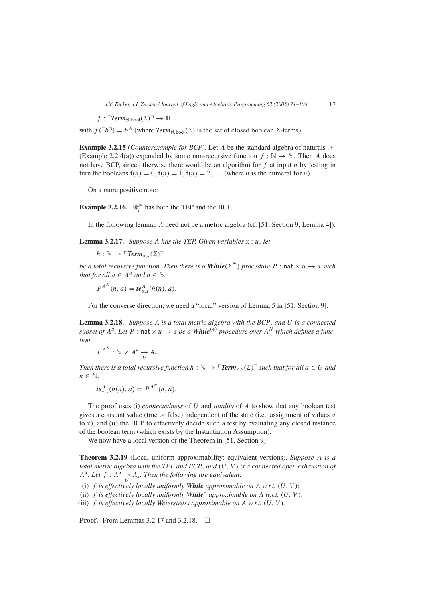$$
f: \ulcorner \textit{Term}_{\emptyset,\text{bool}}(\Sigma) \urcorner \to \mathbb{B}
$$

with  $f(\ulcorner b\urcorner) = b^A$  (where *Term*<sub> $\emptyset$ </sub> bool( $\Sigma$ ) is the set of closed boolean  $\Sigma$ -terms).

**Example 3.2.15** (*Counterexample for BCP*). Let *A* be the standard algebra of naturals  $\mathcal{N}$ (Example 2.2.4(a)) expanded by some non-recursive function  $f : \mathbb{N} \to \mathbb{N}$ . Then A does not have BCP, since otherwise there would be an algorithm for *f* at input *n* by testing in turn the booleans  $f(\bar{n}) = \bar{0}$ ,  $f(\bar{n}) = \bar{1}$ ,  $f(\bar{n}) = \bar{2}$ , ... (where  $\bar{n}$  is the numeral for *n*).

On a more positive note:

**Example 3.2.16.**  $\mathcal{R}_t^N$  has both the TEP and the BCP.

In the following lemma, *A* need not be a metric algebra (cf. [51, Section 9, Lemma 4]).

**Lemma 3.2.17.** *Suppose A has the TEP. Given variables* x : *u, let*

 $h : \mathbb{N} \to \ulcorner \mathit{Term}_{\times,s}(\Sigma) \urcorner$ 

*be a total recursive function. Then there is a While* $(\Sigma^N)$  *procedure*  $P$  : nat  $\times u \rightarrow s$  *such that for all*  $a \in A^u$  *and*  $n \in \mathbb{N}$ *,* 

 $P^{A^N}(n, a) = t e^A_{x,s}(h(n), a).$ 

For the converse direction, we need a "local" version of Lemma 5 in [51, Section 9]:

**Lemma 3.2.18.** *Suppose A is a total metric algebra with the BCP, and U is a connected subset of*  $A^u$ . Let  $P$  : nat  $\times u \to s$  *be a While*<sup>(\*)</sup> *procedure over*  $A^N$  *which defines a function*

$$
P^{A^N}: \mathbb{N} \times A^u \underset{U}{\rightarrow} A_s.
$$

*Then there is a total recursive function*  $h : \mathbb{N} \to \mathsf{Trem}_{X,S}(\Sigma)$ <sup> $\uparrow$ </sup> such that for all  $a \in U$  and *n* ∈  $\mathbb{N}$ *,* 

$$
\boldsymbol{te}_{\mathbf{x},s}^A(h(n),a) = P^{A^N}(n,a).
$$

The proof uses (i) *connectedness* of *U* and *totality* of *A* to show that any boolean test gives a constant value (true or false) independent of the state (i.e., assignment of values *a* to x), and (ii) the BCP to effectively decide such a test by evaluating any closed instance of the boolean term (which exists by the Instantiation Assumption).

We now have a local version of the Theorem in [51, Section 9].

**Theorem 3.2.19** (Local uniform approximability: equivalent versions). *Suppose A is a total metric algebra with the TEP and BCP, and (U, V ) is a connected open exhaustion of*  $A^u$ *. Let*  $f : A^u \rightarrow A_s$ *. Then the following are equivalent:* 

*(*i*) f is effectively locally uniformly While approximable on A w.r.t. (U, V )*;

(ii) f is effectively locally uniformly **While**<sup>\*</sup> approximable on A w.r.t.  $(U, V)$ ;

*(*iii*) f is effectively locally Weierstrass approximable on A w.r.t. (U, V ).*

**Proof.** From Lemmas 3.2.17 and 3.2.18. □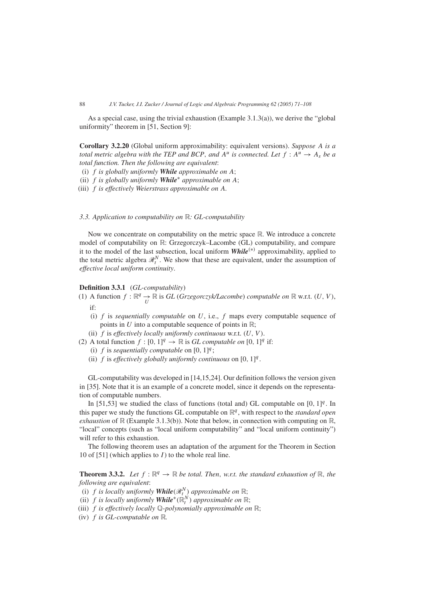As a special case, using the trivial exhaustion (Example 3.1.3(a)), we derive the "global uniformity" theorem in [51, Section 9]:

**Corollary 3.2.20** (Global uniform approximability: equivalent versions). *Suppose A is a total metric algebra with the TEP and BCP, and*  $A^u$  *is connected. Let*  $f : A^u \to A_s$  *be a total function. Then the following are equivalent*:

*(*i*) f is globally uniformly While approximable on A*;

- *(*ii*) f is globally uniformly While*<sup>∗</sup> *approximable on A*;
- *(*iii*) f is effectively Weierstrass approximable on A.*

# *3.3. Application to computability on* R*: GL-computability*

Now we concentrate on computability on the metric space  $\mathbb R$ . We introduce a concrete model of computability on R: Grzegorczyk–Lacombe (GL) computability, and compare it to the model of the last subsection, local uniform *While(*∗*)* approximability, applied to the total metric algebra  $\mathcal{R}_t^N$ . We show that these are equivalent, under the assumption of *effective local uniform continuity*.

# **Definition 3.3.1** (*GL-computability*)

- (1) A function  $f : \mathbb{R}^q \to \mathbb{R}$  is *GL* (*Grzegorczyk/Lacombe*) *computable on*  $\mathbb{R}$  w.r.t.  $(U, V)$ , if:
	- (i) *f* is *sequentially computable* on *U*, i.e., *f* maps every computable sequence of points in  $U$  into a computable sequence of points in  $\mathbb{R}$ ;
	- (ii) *f* is *effectively locally uniformly continuous* w.r.t. *(U, V )*.
- (2) A total function  $f : [0, 1]^q \rightarrow \mathbb{R}$  is *GL computable on*  $[0, 1]^q$  if:
	- (i)  $f$  is *sequentially computable* on  $[0, 1]^q$ ;
	- (ii)  $f$  is *effectively globally uniformly continuous* on  $[0, 1]^q$ .

GL-computability was developed in [14,15,24]. Our definition follows the version given in [35]. Note that it is an example of a concrete model, since it depends on the representation of computable numbers.

In [51,53] we studied the class of functions (total and) GL computable on  $[0, 1]^q$ . In this paper we study the functions GL computable on  $\mathbb{R}^q$ , with respect to the *standard open exhaustion* of  $\mathbb{R}$  (Example 3.1.3(b)). Note that below, in connection with computing on  $\mathbb{R}$ , "local" concepts (such as "local uniform computability" and "local uniform continuity") will refer to this exhaustion.

The following theorem uses an adaptation of the argument for the Theorem in Section 10 of [51] (which applies to *I* ) to the whole real line.

**Theorem 3.3.2.** Let  $f : \mathbb{R}^q \to \mathbb{R}$  be total. Then, w.r.t. the standard exhaustion of  $\mathbb{R}$ , the *following are equivalent*:

- *(i) f is locally uniformly While* $(\mathcal{R}^N_t)$  *approximable on*  $\mathbb{R}$ ;
- *(ii) f is locally uniformly While<sup>∗</sup>(* $\mathbb{R}^N_t$ *) <i>approximable on* ℝ;
- *(*iii*) f is effectively locally* Q*-polynomially approximable on* R;
- *(*iv*) f is GL-computable on* R*.*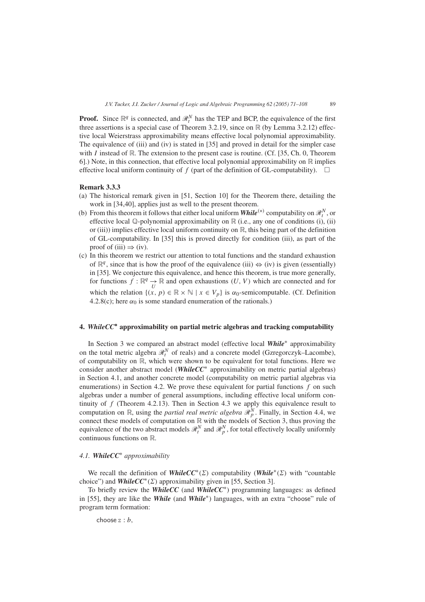**Proof.** Since  $\mathbb{R}^q$  is connected, and  $\mathcal{R}^N_t$  has the TEP and BCP, the equivalence of the first three assertions is a special case of Theorem 3.2.19, since on R (by Lemma 3.2.12) effective local Weierstrass approximability means effective local polynomial approximability. The equivalence of (iii) and (iv) is stated in [35] and proved in detail for the simpler case with *I* instead of  $\mathbb{R}$ . The extension to the present case is routine. (Cf. [35, Ch. 0, Theorem 6].) Note, in this connection, that effective local polynomial approximability on  $\mathbb R$  implies effective local uniform continuity of  $f$  (part of the definition of GL-computability).  $\Box$ 

## **Remark 3.3.3**

- (a) The historical remark given in [51, Section 10] for the Theorem there, detailing the work in [34,40], applies just as well to the present theorem.
- (b) From this theorem it follows that either local uniform **While**<sup>(\*)</sup> computability on  $\mathcal{R}_t^N$ , or effective local  $\mathbb Q$ -polynomial approximability on  $\mathbb R$  (i.e., any one of conditions (i), (ii) or (iii)) implies effective local uniform continuity on  $\mathbb R$ , this being part of the definition of GL-computability. In [35] this is proved directly for condition (iii), as part of the proof of (iii)  $\Rightarrow$  (iv).
- (c) In this theorem we restrict our attention to total functions and the standard exhaustion of  $\mathbb{R}^q$ , since that is how the proof of the equivalence (iii)  $\Leftrightarrow$  (iv) is given (essentially) in [35]. We conjecture this equivalence, and hence this theorem, is true more generally, for functions  $f : \mathbb{R}^q \to \mathbb{R}$  and open exhaustions  $(U, V)$  which are connected and for which the relation  $\{(x, p) \in \mathbb{R} \times \mathbb{N} \mid x \in V_p\}$  is  $\alpha_0$ -semicomputable. (Cf. Definition 4.2.8(c); here  $\alpha_0$  is some standard enumeration of the rationals.)

# **4.** *WhileCC***∗ approximability on partial metric algebras and tracking computability**

In Section 3 we compared an abstract model (effective local *While*<sup>∗</sup> approximability on the total metric algebra  $\mathcal{R}_t^N$  of reals) and a concrete model (Gzregorczyk–Lacombe), of computability on  $\mathbb{R}$ , which were shown to be equivalent for total functions. Here we consider another abstract model (*WhileCC*<sup>∗</sup> approximability on metric partial algebras) in Section 4.1, and another concrete model (computability on metric partial algebras via enumerations) in Section 4.2. We prove these equivalent for partial functions *f* on such algebras under a number of general assumptions, including effective local uniform continuity of *f* (Theorem 4.2.13). Then in Section 4.3 we apply this equivalence result to computation on  $\mathbb{R}$ , using the *partial real metric algebra*  $\mathscr{R}_{p}^N$ . Finally, in Section 4.4, we connect these models of computation on  $\mathbb R$  with the models of Section 3, thus proving the equivalence of the two abstract models  $\mathcal{R}_t^N$  and  $\mathcal{R}_p^N$ , for total effectively locally uniformly continuous functions on R.

# *4.1. WhileCC*<sup>∗</sup> *approximability*

We recall the definition of *WhileCC*<sup>\*</sup>( $\Sigma$ ) computability (*While*<sup>\*</sup>( $\Sigma$ ) with "countable choice") and *WhileCC*<sup>\*</sup>( $\Sigma$ ) approximability given in [55, Section 3].

To briefly review the *WhileCC* (and *WhileCC*∗) programming languages: as defined in [55], they are like the *While* (and *While*∗) languages, with an extra "choose" rule of program term formation:

choose z : *b,*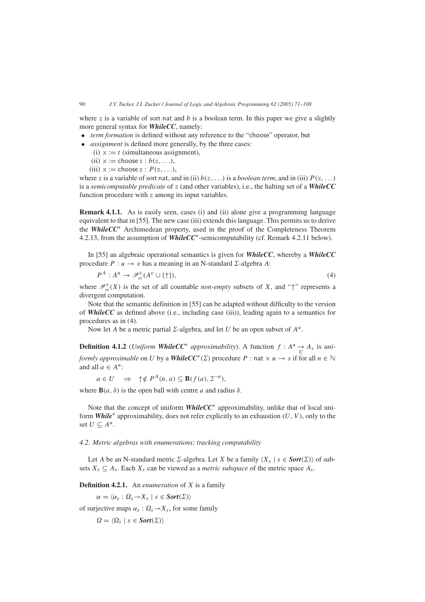where z is a variable of sort nat and  $b$  is a boolean term. In this paper we give a slightly more general syntax for *WhileCC*, namely:

- *term formation* is defined without any reference to the "choose" operator, but
- *assignment* is defined more generally, by the three cases:
	- (i)  $x := t$  (simultaneous assignment),
	- (ii)  $x :=$  choose  $z : b(z, \ldots)$ ,
	- (iii)  $x :=$  choose  $z : P(z, \ldots)$ ,

where z is a variable of sort nat, and in (ii)  $b(z, \ldots)$  is a *boolean term*, and in (iii)  $P(z, \ldots)$ is a *semicomputable predicate* of z (and other variables), i.e., the halting set of a *WhileCC* function procedure with z among its input variables.

**Remark 4.1.1.** As is easily seen, cases (i) and (ii) alone give a programming language equivalent to that in [55]. The new case (iii) extends this language. This permits us to derive the *WhileCC*<sup>∗</sup> Archimedean property, used in the proof of the Completeness Theorem 4.2.13, from the assumption of *WhileCC*∗-semicomputability (cf. Remark 4.2.11 below).

In [55] an algebraic operational semantics is given for *WhileCC*, whereby a *WhileCC* procedure  $P: u \to v$  has a meaning in an N-standard  $\Sigma$ -algebra A:

$$
P^A: A^u \to \mathcal{P}_{\omega}^+(A^v \cup \{\uparrow\}),\tag{4}
$$

where  $\mathcal{P}_{\omega}^{+}(X)$  is the set of all countable *non-empty* subsets of *X*, and " $\uparrow$ " represents a divergent computation.

Note that the semantic definition in [55] can be adapted without difficulty to the version of *WhileCC* as defined above (i.e., including case (iii)), leading again to a semantics for procedures as in (4).

Now let *A* be a metric partial  $\Sigma$ -algebra, and let *U* be an open subset of  $A^u$ .

**Definition 4.1.2** (*Uniform WhileCC<sup>∗</sup> approximability*). A function  $f : A^u \rightarrow A_s$  is *uniformly approximable* on *U* by a *WhileCC*<sup>\*</sup>( $\Sigma$ ) procedure *P* : nat  $\times u \rightarrow s$  if for all  $n \in \mathbb{N}$ and all  $a \in A^u$ :

$$
a \in U \implies \uparrow \notin P^A(n, a) \subseteq \mathbf{B}(f(a), 2^{-n}),
$$

where  $\mathbf{B}(a, \delta)$  is the open ball with centre *a* and radius  $\delta$ .

Note that the concept of uniform *WhileCC*<sup>∗</sup> approximability, unlike that of local uniform *While*<sup>∗</sup> approximability, does not refer explicitly to an exhaustion *(U, V )*, only to the set *U* ⊂  $A^u$ .

# *4.2. Metric algebras with enumerations; tracking computability*

Let *A* be an N-standard metric  $\Sigma$ -algebra. Let *X* be a family  $\langle X_s | s \in \text{Sort}(\Sigma) \rangle$  of subsets  $X_s \subseteq A_s$ . Each  $X_s$  can be viewed as a *metric subspace* of the metric space  $A_s$ .

**Definition 4.2.1.** An *enumeration* of *X* is a family

 $\alpha = \langle \alpha_s : \Omega_s \rightarrow X_s \mid s \in \text{Sort}(\Sigma) \rangle$ 

of surjective maps  $\alpha_s$ :  $\Omega_s \rightarrow X_s$ , for some family

 $\Omega = \langle \Omega_s \mid s \in \text{Sort}(\Sigma) \rangle$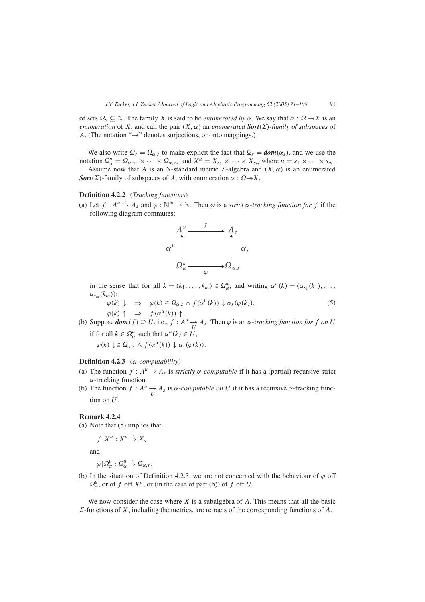of sets  $\Omega_s \subseteq \mathbb{N}$ . The family *X* is said to be *enumerated by*  $\alpha$ . We say that  $\alpha : \Omega \to X$  is an *enumeration* of *X*, and call the pair  $(X, \alpha)$  an *enumerated* **Sort** $(\Sigma)$ -family of subspaces of *A*. (The notation " $\rightarrow$ " denotes surjections, or onto mappings.)

We also write  $\Omega_s = \Omega_{\alpha,s}$  to make explicit the fact that  $\Omega_s = \textbf{dom}(\alpha_s)$ , and we use the notation  $\Omega_{\alpha}^{\mu} = \Omega_{\alpha,s_1} \times \cdots \times \Omega_{\alpha,s_m}$  and  $X^{\mu} = X_{s_1} \times \cdots \times X_{s_m}$  where  $u = s_1 \times \cdots \times s_m$ .

Assume now that *A* is an N-standard metric  $\Sigma$ -algebra and  $(X, \alpha)$  is an enumerated *Sort*( $\Sigma$ )-family of subspaces of *A*, with enumeration  $\alpha$  :  $\Omega \rightarrow X$ .

# **Definition 4.2.2** (*Tracking functions*)

(a) Let  $f : A^u \to A_s$  and  $\varphi : \mathbb{N}^m \to \mathbb{N}$ . Then  $\varphi$  is a *strict*  $\alpha$ *-tracking function for*  $f$  if the following diagram commutes:



in the sense that for all  $k = (k_1, \ldots, k_m) \in \Omega_{\alpha}^u$ , and writing  $\alpha^u(k) = (\alpha_{s_1}(k_1), \ldots, \alpha_m(k_m))$  $\alpha_{s_m}(k_m)$ :

$$
\varphi(k) \downarrow \quad \Rightarrow \quad \varphi(k) \in \Omega_{\alpha,s} \land f(\alpha^u(k)) \downarrow \alpha_s(\varphi(k)),
$$
\n
$$
\varphi(k) \uparrow \quad \Rightarrow \quad f(\alpha^u(k)) \uparrow .
$$
\n(5)

(b) Suppose  $dom(f) \supseteq U$ , i.e.,  $f : A^u \to A_s$ . Then  $\varphi$  is an  $\alpha$ -tracking function for  $f$  on  $U$ if for all  $k \in \Omega_{\alpha}^{\mu}$  such that  $\alpha^{\mu}(k) \in U$ ,

 $\varphi(k) \downarrow \in \Omega_{\alpha,s} \wedge f(\alpha^u(k)) \downarrow \alpha_s(\varphi(k)).$ 

#### **Definition 4.2.3** (*α-computability*)

- (a) The function  $f : A^u \to A_s$  is *strictly*  $\alpha$ -*computable* if it has a (partial) recursive strict *α*-tracking function.
- (b) The function  $f : A^u \to A_s$  is  $\alpha$ -*computable on U* if it has a recursive  $\alpha$ -tracking function on *U*.

# **Remark 4.2.4**

(a) Note that (5) implies that

$$
f \,|\, X^u : X^u \to X_s
$$

and

 $\varphi \restriction \Omega_\alpha^u : \Omega_\alpha^u$  $\stackrel{\cdot}{\rightarrow} \Omega_{\alpha,s}.$ 

(b) In the situation of Definition 4.2.3, we are not concerned with the behaviour of  $\varphi$  off  $\Omega_{\alpha}^{\mu}$ , or of *f* off *X<sup>u</sup>*, or (in the case of part (b)) of *f* off *U*.

We now consider the case where *X* is a subalgebra of *A*. This means that all the basic  $\Sigma$ -functions of *X*, including the metrics, are retracts of the corresponding functions of *A*.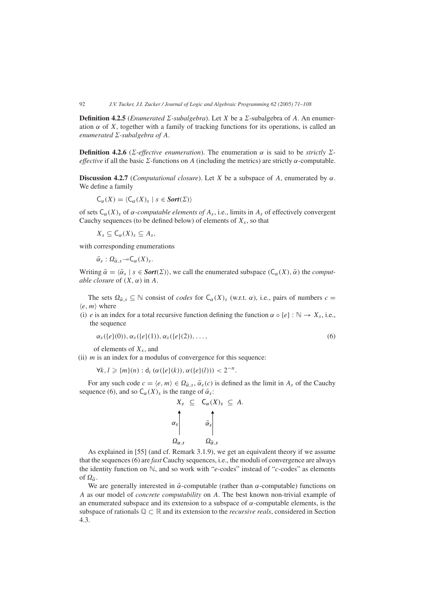**Definition 4.2.5** (*Enumerated*  $\Sigma$ -subalgebra). Let *X* be a  $\Sigma$ -subalgebra of *A*. An enumeration  $\alpha$  of *X*, together with a family of tracking functions for its operations, is called an *enumerated*  $\Sigma$ -subalgebra of  $A$ .

**Definition 4.2.6** (*Σ*-*effective enumeration*). The enumeration *α* is said to be *strictly Σeffective* if all the basic  $\Sigma$ -functions on *A* (including the metrics) are strictly  $\alpha$ -computable.

**Discussion 4.2.7** (*Computational closure*). Let *X* be a subspace of *A*, enumerated by  $\alpha$ . We define a family

$$
\mathsf{C}_{\alpha}(X) = \langle \mathsf{C}_{\alpha}(X)_{s} \mid s \in \mathit{Sort}(\Sigma) \rangle
$$

of sets  $C_\alpha(X)$ <sub>s</sub> of  $\alpha$ -*computable elements of*  $A_s$ , i.e., limits in  $A_s$  of effectively convergent Cauchy sequences (to be defined below) of elements of  $X_s$ , so that

 $X_s \subseteq C_\alpha(X)_s \subseteq A_s$ ,

with corresponding enumerations

 $\bar{\alpha}_s : \Omega_{\bar{\alpha},s} \rightarrowtail \mathsf{C}_{\alpha}(X)_s.$ 

Writing  $\bar{\alpha} = \langle \bar{\alpha}_s | s \in \text{Sort}(\Sigma) \rangle$ , we call the enumerated subspace  $(C_\alpha(X), \bar{\alpha})$  the *computable closure* of  $(X, \alpha)$  in A.

The sets  $\Omega_{\bar{\alpha},s} \subseteq \mathbb{N}$  consist of *codes* for  $C_{\alpha}(X)_{s}$  (w.r.t.  $\alpha$ ), i.e., pairs of numbers  $c =$  $\langle e, m \rangle$  where

(i) *e* is an index for a total recursive function defining the function  $\alpha \circ \{e\} : \mathbb{N} \to X_s$ , i.e., the sequence

$$
\alpha_s(\{e\}(0)), \alpha_s(\{e\}(1)), \alpha_s(\{e\}(2)), \ldots,
$$
\n(6)

of elements of *Xs*, and

(ii)  $m$  is an index for a modulus of convergence for this sequence:

$$
\forall k, l \geq \{m\}(n) : d_i(\alpha(\{e\}(k)), \alpha(\{e\}(l))) < 2^{-n}.
$$

For any such code  $c = \langle e, m \rangle \in \Omega_{\bar{\alpha}, s}, \bar{\alpha}_s(c)$  is defined as the limit in  $A_s$  of the Cauchy sequence (6), and so  $C_{\alpha}(X)_{s}$  is the range of  $\bar{\alpha}_{s}$ :

$$
X_{s} \subseteq C_{\alpha}(X)_{s} \subseteq A.
$$
  

$$
\alpha_{s} \qquad \qquad \bar{\alpha}_{s} \qquad \qquad \bar{\alpha}_{s}
$$
  

$$
\Omega_{\alpha,s} \qquad \qquad \Omega_{\bar{\alpha},s}
$$

As explained in [55] (and cf. Remark 3.1.9), we get an equivalent theory if we assume that the sequences (6) are *fast* Cauchy sequences, i.e., the moduli of convergence are always the identity function on N, and so work with "*e*-codes" instead of "*c*-codes" as elements of  $\Omega_{\bar{\alpha}}$ .

We are generally interested in  $\bar{\alpha}$ -computable (rather than  $\alpha$ -computable) functions on *A* as our model of *concrete computability* on *A*. The best known non-trivial example of an enumerated subspace and its extension to a subspace of *α*-computable elements, is the subspace of rationals Q ⊂ R and its extension to the *recursive reals*, considered in Section 4.3.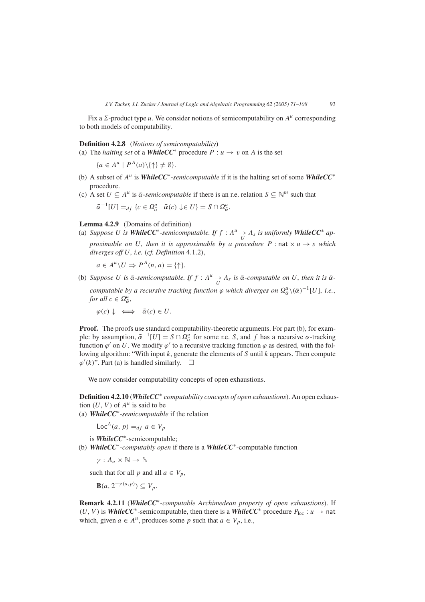Fix a  $\Sigma$ -product type *u*. We consider notions of semicomputability on  $A^u$  corresponding to both models of computability.

**Definition 4.2.8** (*Notions of semicomputability*)

(a) The *halting set* of a *WhileCC*<sup>\*</sup> procedure  $P: u \to v$  on *A* is the set

 ${a \in A^u \mid P^A(a) \setminus \{\uparrow\} \neq \emptyset}.$ 

- (b) A subset of *Au* is *WhileCC*∗-*semicomputable* if it is the halting set of some *WhileCC*<sup>∗</sup> procedure.
- (c) A set  $U \subseteq A^u$  is  $\bar{\alpha}$ -*semicomputable* if there is an r.e. relation  $S \subseteq \mathbb{N}^m$  such that  $\bar{\alpha}^{-1}[U] =_{df} \{c \in \Omega_{\bar{\alpha}}^u \mid \bar{\alpha}(c) \downarrow \in U\} = S \cap \Omega_{\bar{\alpha}}^u.$

**Lemma 4.2.9** *(*Domains of definition*)*

(a) *Suppose U* is *WhileCC***<sup>\*</sup>**-semicomputable. If  $f : A^u \to A_s$  is uniformly *WhileCC***<sup>\*</sup>** ap*proximable on U*, *then it is approximable by a procedure*  $P$  : nat  $\times u \rightarrow s$  *which diverges off U, i.e. (cf. Definition* 4*.*1*.*2*),*

 $a \in A^u \backslash U \Rightarrow P^A(n, a) = \{\uparrow\}.$ 

(b) *Suppose U is*  $\bar{\alpha}$ -semicomputable. If  $f : A^u \to A_s$  *is*  $\bar{\alpha}$ -computable on *U*, then *it is*  $\bar{\alpha}$ *computable by a recursive tracking function*  $\varphi$  *which diverges on*  $\Omega_{\bar{\alpha}}^{\mu} \setminus (\bar{\alpha})^{-1}[U]$ *, i.e.*, *for all*  $c \in \Omega_{\bar{\alpha}}^u$ ,

 $\varphi(c) \downarrow \iff \bar{\alpha}(c) \in U.$ 

**Proof.** The proofs use standard computability-theoretic arguments. For part (b), for example: by assumption,  $\bar{\alpha}^{-1}[U] = S \cap \Omega_{\bar{\alpha}}^u$  for some r.e. *S*, and *f* has a recursive *α*-tracking function  $\varphi'$  on *U*. We modify  $\varphi'$  to a recursive tracking function  $\varphi$  as desired, with the following algorithm: "With input *k*, generate the elements of *S* until *k* appears. Then compute  $\varphi'(k)$ ". Part (a) is handled similarly.  $\square$ 

We now consider computability concepts of open exhaustions.

**Definition 4.2.10** (*WhileCC*<sup>∗</sup> *computability concepts of open exhaustions*). An open exhaustion  $(U, V)$  of  $A<sup>u</sup>$  is said to be

(a) *WhileCC*∗-*semicomputable* if the relation

 $Loc<sup>A</sup>(a, p) =<sub>df</sub> a \in V_p$ 

is *WhileCC*∗-semicomputable;

(b) *WhileCC*∗-*computably open* if there is a *WhileCC*∗-computable function

*γ* : *A<sub>u</sub>*  $\times$  N → N

such that for all *p* and all  $a \in V_p$ ,

 $\mathbf{B}(a, 2^{-\gamma(a,p)}) \subseteq V_p$ .

**Remark 4.2.11** (*WhileCC*∗*-computable Archimedean property of open exhaustions*). If *(U, V)* is *WhileCC*<sup>\*</sup>-semicomputable, then there is a *WhileCC*<sup>\*</sup> procedure  $P_{\text{loc}}$  : *u* → nat which, given  $a \in A^u$ , produces some p such that  $a \in V_p$ , i.e.,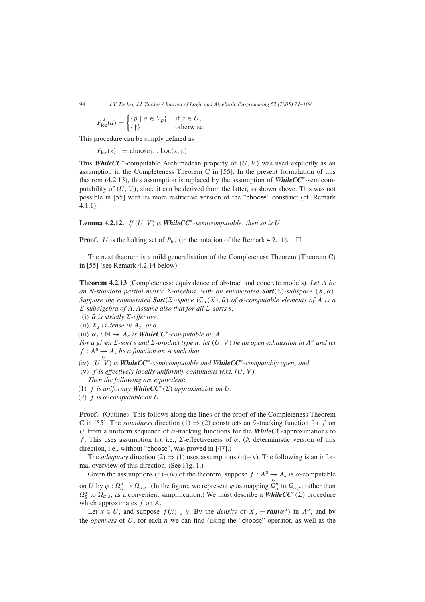$$
P_{\text{loc}}^{A}(a) = \begin{cases} \{p \mid a \in V_p\} & \text{if } a \in U, \\ \{\uparrow\} & \text{otherwise.} \end{cases}
$$

This procedure can be simply defined as

 $P_{\text{loc}}(x) ::= \text{choose } p : \text{Loc}(x, p).$ 

This *WhileCC*∗-computable Archimedean property of *(U, V )* was used explicitly as an assumption in the Completeness Theorem C in [55]. In the present formulation of this theorem (4.2.13), this assumption is replaced by the assumption of *WhileCC*∗-semicomputability of  $(U, V)$ , since it can be derived from the latter, as shown above. This was not possible in [55] with its more restrictive version of the "choose" construct (cf. Remark 4.1.1).

**Lemma 4.2.12.** *If*  $(U, V)$  *is WhileCC***<sup>\*</sup>-semicomputable, then so is**  $U$ **.** 

**Proof.** *U* is the halting set of  $P_{\text{loc}}$  (in the notation of the Remark 4.2.11).  $\Box$ 

The next theorem is a mild generalisation of the Completeness Theorem (Theorem C) in [55] (see Remark 4.2.14 below).

**Theorem 4.2.13** (Completeness: equivalence of abstract and concrete models). *Let A be an N-standard partial metric*  $\Sigma$ -algebra, with an enumerated **Sort**( $\Sigma$ )-subspace  $(X, \alpha)$ *. Suppose the enumerated Sort*( $\Sigma$ )-space  $(C_{\alpha}(X), \bar{\alpha})$  *of*  $\alpha$ -computable elements of A is a  $\Sigma$ -subalgebra of A. Assume also that for all  $\Sigma$ -sorts *s*,

 $(i)$   $\bar{\alpha}$  *is strictly*  $\Sigma$ -effective,

 $(iii)$   $X_s$  *is dense in*  $A_s$ *, and* 

 $(iii) \ \alpha_s : \mathbb{N} \to A_s$  *is WhileCC<sup>\*</sup>-computable on A.* 

*For a given*  $\Sigma$ -sort *s* and  $\Sigma$ -product type *u*, let  $(U, V)$  be an open exhaustion in  $A^u$  and let  $f: A^u \longrightarrow A_s$  *be a function on A such that* 

*(*iv*) (U, V ) is WhileCC*∗*-semicomputable and WhileCC*∗*-computably open, and*

- *(*v*) f is effectively locally uniformly continuous w.r.t. (U, V ). Then the following are equivalent*:
- *(1) f is uniformly <i>WhileCC***<sup>\*</sup>(** $\Sigma$ **)** *approximable on**U***,**
- $(2)$  *f is*  $\overline{\alpha}$ *-computable on U*.

**Proof.** (Outline): This follows along the lines of the proof of the Completeness Theorem C in [55]. The *soundness* direction (1)  $\Rightarrow$  (2) constructs an  $\bar{\alpha}$ -tracking function for f on *U* from a uniform sequence of  $\bar{\alpha}$ -tracking functions for the *WhileCC*-approximations to *f*. This uses assumption (i), i.e., Σ-effectiveness of  $\bar{\alpha}$ . (A deterministic version of this direction, i.e., without "choose", was proved in [47].)

The *adequacy* direction (2)  $\Rightarrow$  (1) uses assumptions (ii)–(v). The following is an informal overview of this direction. (See Fig. 1.)

Given the assumptions (ii)–(iv) of the theorem, suppose  $f : A^u \to A_s$  is  $\bar{\alpha}$ -computable on *U* by  $\varphi$  :  $\Omega_{\bar{\alpha}}^u$  $\rightarrow \Omega_{\bar{\alpha},s}$ . (In the figure, we represent  $\varphi$  as mapping  $\Omega''_{\alpha}$  to  $\Omega_{\alpha,s}$ , rather than  $\Omega_{\bar{\alpha}}^{\mu}$  to  $\Omega_{\bar{\alpha},s}$ , as a convenient simplification.) We must describe a *WhileCC*<sup>\*</sup>(*Σ*) procedure which approximates *f* on *A*.

Let  $x \in U$ , and suppose  $f(x) \downarrow y$ . By the *density* of  $X_u = \text{ran}(\alpha^u)$  in  $A^u$ , and by the *openness* of *U*, for each *n* we can find (using the "choose" operator, as well as the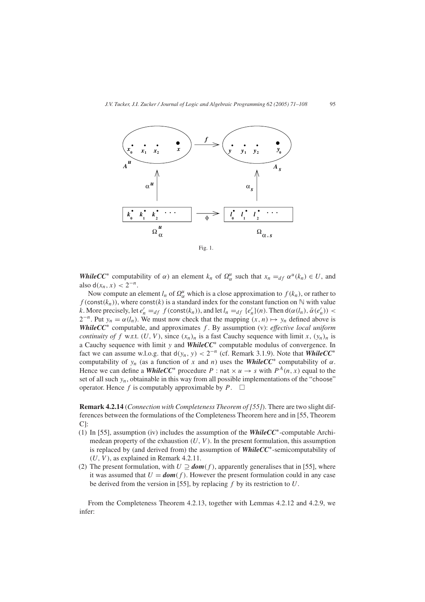

Fig. 1.

*WhileCC*<sup>\*</sup> computability of *α*) an element  $k_n$  of  $\Omega_{\alpha}^u$  such that  $x_n =_{df} \alpha^u(k_n) \in U$ , and also  $d(x_n, x) < 2^{-n}$ .

Now compute an element  $l_n$  of  $\Omega_\alpha^\mu$  which is a close approximation to  $f(k_n)$ , or rather to  $f$ (const $(k_n)$ ), where const $(k)$  is a standard index for the constant function on  $\mathbb N$  with value *k*. More precisely, let  $e'_n =_{df} f(\text{const}(k_n))$ , and let  $l_n =_{df} \{e'_n\}(n)$ . Then  $d(\alpha(l_n), \bar{\alpha}(e'_n))$  <  $2^{-n}$ . Put  $y_n = \alpha(l_n)$ . We must now check that the mapping  $(x, n) \mapsto y_n$  defined above is *WhileCC*<sup>∗</sup> computable, and approximates *f* . By assumption (v): *effective local uniform continuity of f* w.r.t.  $(U, V)$ , since  $(x_n)_n$  is a fast Cauchy sequence with limit *x*,  $(y_n)_n$  is a Cauchy sequence with limit *y* and *WhileCC*<sup>∗</sup> computable modulus of convergence. In fact we can assume w.l.o.g. that  $d(y_n, y) < 2^{-n}$  (cf. Remark 3.1.9). Note that *WhileCC<sup>\*</sup>* computability of  $y_n$  (as a function of x and n) uses the **WhileCC**<sup>\*</sup> computability of  $\alpha$ . Hence we can define a *WhileCC*<sup>\*</sup> procedure *P* : nat  $\times u \rightarrow s$  with  $P^{A}(n, x)$  equal to the set of all such  $y_n$ , obtainable in this way from all possible implementations of the "choose" operator. Hence  $f$  is computably approximable by  $P$ .  $\Box$ 

**Remark 4.2.14** (*Connection with Completeness Theorem of [55]*). There are two slight differences between the formulations of the Completeness Theorem here and in [55, Theorem C]:

- (1) In [55], assumption (iv) includes the assumption of the *WhileCC*∗-computable Archimedean property of the exhaustion  $(U, V)$ . In the present formulation, this assumption is replaced by (and derived from) the assumption of *WhileCC*∗-semicomputability of  $(U, V)$ , as explained in Remark 4.2.11.
- (2) The present formulation, with  $U \supseteq dom(f)$ , apparently generalises that in [55], where it was assumed that  $U = dom(f)$ . However the present formulation could in any case be derived from the version in [55], by replacing *f* by its restriction to *U*.

From the Completeness Theorem 4.2.13, together with Lemmas 4.2.12 and 4.2.9, we infer: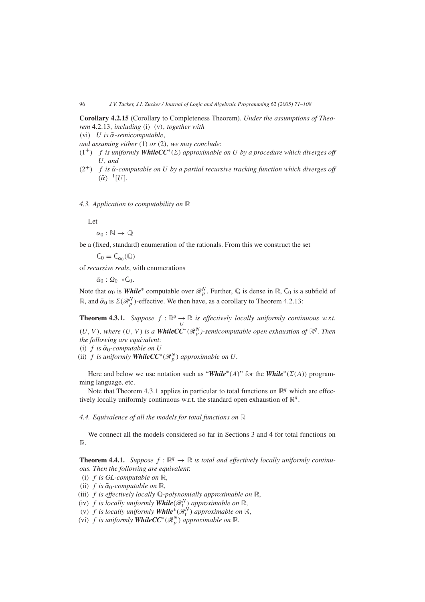**Corollary 4.2.15** (Corollary to Completeness Theorem). *Under the assumptions of Theorem* 4*.*2*.*13*, including (*i*)*–*(*v*), together with*

*(*vi*) U is α*¯*-semicomputable,*

*and assuming either (*1*) or (*2*), we may conclude*:

- $(1^+)$  *f is uniformly WhileCC<sup>\*</sup>(* $\Sigma$ *) approximable on U by a procedure which diverges off U, and*
- $(2^+)$  *f is*  $\bar{\alpha}$ -computable on U by a partial recursive tracking function which diverges off  $(\bar{\alpha})^{-1}[U]$ .

*4.3. Application to computability on* R

Let

 $\alpha_0 : \mathbb{N} \to \mathbb{Q}$ 

be a (fixed, standard) enumeration of the rationals. From this we construct the set

 $C_0 = C_{\alpha_0}(\mathbb{Q})$ 

of *recursive reals*, with enumerations

 $\bar{\alpha}_0 : \Omega_0 \rightarrow C_0.$ 

Note that  $\alpha_0$  is **While**<sup>\*</sup> computable over  $\mathcal{R}_p^N$ . Further,  $\mathbb Q$  is dense in  $\mathbb R$ ,  $\mathsf C_0$  is a subfield of R, and  $\bar{\alpha}_0$  is  $\Sigma(\mathcal{R}_p^N)$ -effective. We then have, as a corollary to Theorem 4.2.13:

**Theorem 4.3.1.** *Suppose*  $f : \mathbb{R}^q \to \mathbb{R}$  *is effectively locally uniformly continuous w.r.t.*  $(U, V)$ , where  $(U, V)$  is a **WhileCC**<sup>\*</sup> $(\mathcal{R}_p^N)$ -semicomputable open exhaustion of  $\mathbb{R}^q$ . Then *the following are equivalent*:

 $(i)$  *f is*  $\bar{\alpha}_0$ -*computable on U* 

*(ii) f is uniformly WhileCC<sup>\*</sup>*( $\mathcal{R}_p^N$ ) *approximable on U.* 

Here and below we use notation such as "*While*<sup>\*</sup>(*A*)" for the *While*<sup>\*</sup>(*Σ*(*A*)) programming language, etc.

Note that Theorem 4.3.1 applies in particular to total functions on  $\mathbb{R}^q$  which are effectively locally uniformly continuous w.r.t. the standard open exhaustion of  $\mathbb{R}^q$ .

*4.4. Equivalence of all the models for total functions on* R

We connect all the models considered so far in Sections 3 and 4 for total functions on R.

**Theorem 4.4.1.** *Suppose*  $f : \mathbb{R}^q \to \mathbb{R}$  *is total and effectively locally uniformly continuous. Then the following are equivalent*:

- *(*i*) f is GL-computable on* R*,*
- $(iii)$  *f is*  $\bar{\alpha}_0$ *-computable on*  $\mathbb{R}$ *,*
- *(*iii*) f is effectively locally* Q*-polynomially approximable on* R*,*
- *(iv) f is locally uniformly While* $(\mathcal{R}^N_t)$  *approximable on* R,
- $f(x)$  *f is locally uniformly While<sup>\*</sup>(* $\mathcal{R}^N_t$ *) approximable on* R,
- *(vi) f is uniformly WhileCC***<sup>\*</sup>**( $\mathcal{R}_p^N$ ) *approximable on* ℝ*.*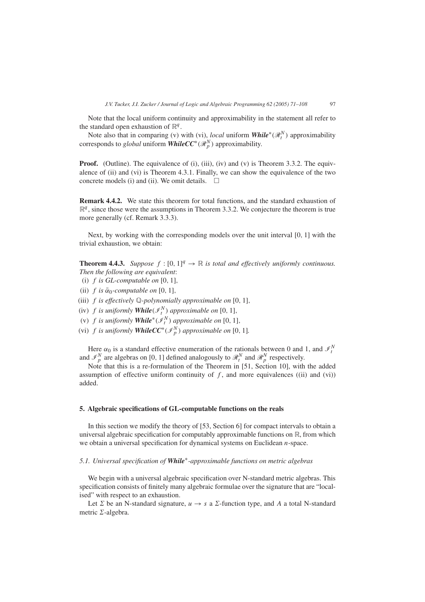Note that the local uniform continuity and approximability in the statement all refer to the standard open exhaustion of  $\mathbb{R}^q$ .

Note also that in comparing (v) with (vi), *local* uniform **While**<sup>\*</sup>( $\mathcal{R}^N_t$ ) approximability corresponds to *global* uniform *WhileCC*∗*(*R*<sup>N</sup> <sup>p</sup> )* approximability.

**Proof.** (Outline). The equivalence of (i), (iii), (iv) and (v) is Theorem 3.3.2. The equivalence of (ii) and (vi) is Theorem 4.3.1. Finally, we can show the equivalence of the two concrete models (i) and (ii). We omit details.  $\Box$ 

**Remark 4.4.2.** We state this theorem for total functions, and the standard exhaustion of  $\mathbb{R}^q$ , since those were the assumptions in Theorem 3.3.2. We conjecture the theorem is true more generally (cf. Remark 3.3.3).

Next, by working with the corresponding models over the unit interval [0*,* 1] with the trivial exhaustion, we obtain:

**Theorem 4.4.3.** *Suppose*  $f : [0, 1]^q \rightarrow \mathbb{R}$  *is total and effectively uniformly continuous. Then the following are equivalent*:

- *(*i*) f is GL-computable on* [0*,* 1]*,*
- $(iii)$  *f is*  $\bar{\alpha}_0$ -*computable on* [0, 1]*,*
- *(*iii*) f is effectively* Q*-polynomially approximable on* [0*,* 1]*,*
- *(iv) f is uniformly While* $(\mathcal{I}^N_t)$  *approximable on* [0, 1]*,*
- *(v) f is uniformly While*<sup>\*</sup>( $\mathcal{I}^N_t$ ) *approximable on* [0, 1]*,*
- *(vi) f is uniformly <i>WhileCC***<sup>\*</sup>**( $\mathcal{I}_p^N$ ) *approximable on* [0, 1]*.*

Here  $\alpha_0$  is a standard effective enumeration of the rationals between 0 and 1, and  $\mathcal{I}_t^N$  and  $\mathcal{I}_t^N$  are algebras on [0, 1] defined analogously to  $\mathcal{R}_t^N$  and  $\mathcal{R}_p^N$  respectively.

Note that this is a re-formulation of the Theorem in [51, Section 10], with the added assumption of effective uniform continuity of  $f$ , and more equivalences ((ii) and (vi)) added.

#### **5. Algebraic specifications of GL-computable functions on the reals**

In this section we modify the theory of [53, Section 6] for compact intervals to obtain a universal algebraic specification for computably approximable functions on  $\mathbb{R}$ , from which we obtain a universal specification for dynamical systems on Euclidean *n*-space.

## *5.1. Universal specification of While*∗*-approximable functions on metric algebras*

We begin with a universal algebraic specification over N-standard metric algebras. This specification consists of finitely many algebraic formulae over the signature that are "localised" with respect to an exhaustion.

Let  $\Sigma$  be an N-standard signature,  $u \to s$  a  $\Sigma$ -function type, and A a total N-standard metric  $\Sigma$ -algebra.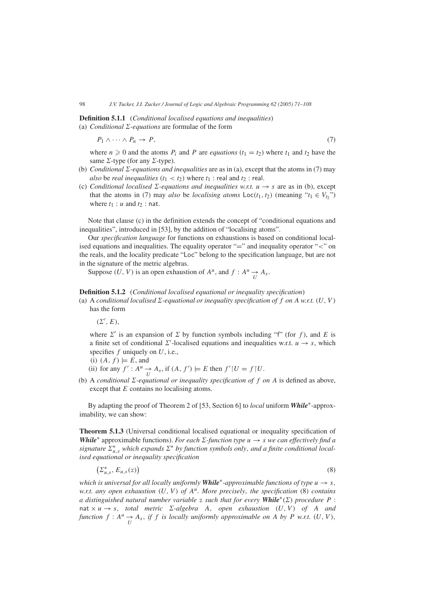# **Definition 5.1.1** (*Conditional localised equations and inequalities)* (a) *Conditional*  $\Sigma$ -equations are formulae of the form

$$
P_1 \wedge \cdots \wedge P_n \to P,\tag{7}
$$

where  $n \geq 0$  and the atoms  $P_i$  and P are *equations*  $(t_1 = t_2)$  where  $t_1$  and  $t_2$  have the same  $\Sigma$ -type (for any  $\Sigma$ -type).

- (b) *Conditional*  $\Sigma$ *-equations and inequalities* are as in (a), except that the atoms in (7) may *also* be *real inequalities*  $(t_1 < t_2)$  where  $t_1$  : real and  $t_2$  : real.
- (c) *Conditional localised*  $\Sigma$ -equations and inequalities w.r.t.  $u \rightarrow s$  are as in (b), except that the atoms in (7) may *also* be *localising atoms*  $Loc(t_1, t_2)$  (meaning " $t_1 \in V_t$ ") where  $t_1$  :  $u$  and  $t_2$  : nat.

Note that clause (c) in the definition extends the concept of "conditional equations and inequalities", introduced in [53], by the addition of "localising atoms".

Our *specification language* for functions on exhaustions is based on conditional localised equations and inequalities. The equality operator "=" and inequality operator "*<*" on the reals, and the locality predicate "Loc" belong to the specification language, but are not in the signature of the metric algebras.

Suppose  $(U, V)$  is an open exhaustion of  $A^u$ , and  $f: A^u \to A_s$ .

## **Definition 5.1.2** (*Conditional localised equational or inequality specification*)

(a) A *conditional localised*  $\Sigma$ -equational or inequality specification of f on A w.r.t. (U, V) has the form

 $(\Sigma', E),$ 

where  $\Sigma'$  is an expansion of  $\Sigma$  by function symbols including "f" (for f), and E is a finite set of conditional  $\Sigma'$ -localised equations and inequalities w.r.t.  $u \to s$ , which specifies *f* uniquely on *U*, i.e.,

(i) 
$$
(A, f) \models E
$$
, and

- (ii) for any  $f' : A^u \to A_s$ , if  $(A, f') \models E$  then  $f'|U = f|U$ .
- (b) A *conditional*  $\Sigma$ -equational or inequality specification of f on A is defined as above, except that *E* contains no localising atoms.

By adapting the proof of Theorem 2 of [53, Section 6] to *local* uniform *While*∗-approximability, we can show:

**Theorem 5.1.3** (Universal conditional localised equational or inequality specification of *While<sup>\*</sup>* approximable functions). *For each*  $\Sigma$ -function type  $u \rightarrow s$  *we can effectively find a signature*  $\sum_{u,s}^*$  *which expands*  $\Sigma^*$  *by function symbols only, and a finite conditional localised equational or inequality specification*

 $\left(\sum_{u,s}^{*}, E_{u,s}(z)\right)$  $\left(8\right)$ 

*which is universal for all locally uniformly While<sup>\*</sup>-approximable functions of type*  $u \rightarrow s$ *, w.r.t. any open exhaustion*  $(U, V)$  *of*  $A<sup>u</sup>$ *. More precisely, the specification* (8) *contains a* distinguished natural number variable z such that for every **While**<sup>\*</sup>( $\Sigma$ ) procedure P :  $nat \times u \rightarrow s$ , *total metric*  $\Sigma$ -algebra *A*, *open exhaustion*  $(U, V)$  *of A and function*  $f: A^u \to A_s$ , *if*  $f$  *is locally uniformly approximable on*  $A$  *by*  $P$  *w.r.t.*  $(U, V)$ ,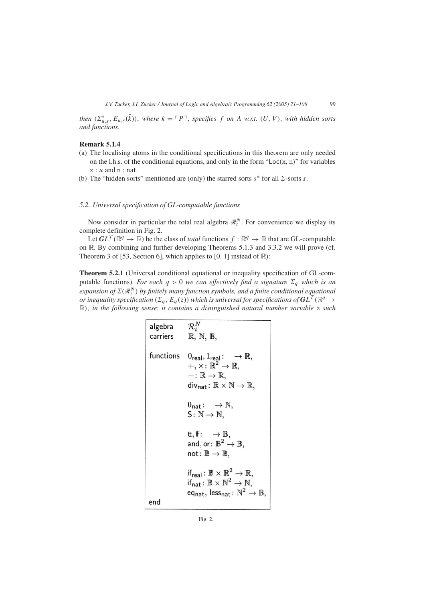*then*  $(\sum_{u,s}^*, E_{u,s}(\bar{k}))$ , where  $k = \lceil P \rceil$ , specifies f on A w.r.t.  $(U, V)$ , with hidden sorts *and functions.*

# **Remark 5.1.4**

- (a) The localising atoms in the conditional specifications in this theorem are only needed on the l.h.s. of the conditional equations, and only in the form "Loc*(*x*,* n*)*" for variables  $x : u$  and  $n : nat$ .
- (b) The "hidden sorts" mentioned are (only) the starred sorts  $s^*$  for all  $\Sigma$ -sorts *s*.

# *5.2. Universal specification of GL-computable functions*

Now consider in particular the total real algebra  $\mathcal{R}_t^N$ . For convenience we display its complete definition in Fig. 2.

Let  $GL^T(\mathbb{R}^q \to \mathbb{R})$  be the class of *total* functions  $f : \mathbb{R}^q \to \mathbb{R}$  that are GL-computable on R. By combining and further developing Theorems 5.1.3 and 3.3.2 we will prove (cf. Theorem 3 of [53, Section 6], which applies to  $[0, 1]$  instead of  $\mathbb{R}$ ):

**Theorem 5.2.1** (Universal conditional equational or inequality specification of GL-computable functions). *For each*  $q > 0$  *we can effectively find a signature*  $\Sigma_q$  *which is an expansion of*  $\Sigma(\mathcal{R}^N_t)$  by finitely many function symbols, and a finite conditional equational *or inequality specification*  $(\Sigma_q, E_q(z))$  *which is universal for specifications of*  $GL^T(\mathbb{R}^q \to$ R*), in the following sense*: *it contains a distinguished natural number variable* z *such*

| algebra                                                              | $\mathcal{R}_t^N$                                            |
|----------------------------------------------------------------------|--------------------------------------------------------------|
| carriers                                                             | $\mathbb{R}, \mathbb{N}, \mathbb{B},$                        |
| functions                                                            | $0_{\text{real}}, 1_{\text{real}} : \rightarrow \mathbb{R},$ |
| $+$ , $\times : \mathbb{R}^2 \rightarrow \mathbb{R},$                |                                                              |
| $- : \mathbb{R} \rightarrow \mathbb{R},$                             |                                                              |
| $div_{nat} : \mathbb{R} \times \mathbb{N} \rightarrow \mathbb{R},$   |                                                              |
| $0_{nat} : \rightarrow \mathbb{N},$                                  |                                                              |
| $S : \mathbb{N} \rightarrow \mathbb{N},$                             |                                                              |
| $t, ff : \rightarrow \mathbb{B},$                                    |                                                              |
| $and, or : \mathbb{B}^2 \rightarrow \mathbb{B},$                     |                                                              |
| $not : \mathbb{B} \rightarrow \mathbb{B},$                           |                                                              |
| $if_{real} : \mathbb{B} \times \mathbb{R}^2 \rightarrow \mathbb{R},$ |                                                              |
| $if_{real} : \mathbb{B} \times \mathbb{N}^2 \rightarrow \mathbb{N},$ |                                                              |
| $ef_{nat}, \text{less}_{nat} : \mathbb{N}^2 \rightarrow \mathbb{B},$ |                                                              |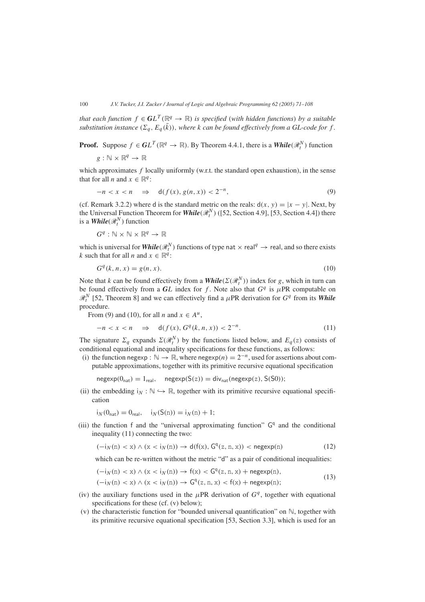*that each function*  $f \in GL^T(\mathbb{R}^q \to \mathbb{R})$  *is specified (with hidden functions) by a suitable substitution instance*  $(\Sigma_q, E_q(\overline{k}))$ , where *k* can be found effectively from a GL-code for f.

**Proof.** Suppose  $f \in GL^T(\mathbb{R}^q \to \mathbb{R})$ . By Theorem 4.4.1, there is a *While*  $(\mathcal{R}^N_t)$  function

$$
g:\mathbb{N}\times\mathbb{R}^q\to\mathbb{R}
$$

which approximates f locally uniformly (w.r.t. the standard open exhaustion), in the sense that for all *n* and  $x \in \mathbb{R}^q$ :

$$
-n < x < n \quad \Rightarrow \quad \mathsf{d}(f(x), g(n, x)) < 2^{-n}, \tag{9}
$$

(cf. Remark 3.2.2) where d is the standard metric on the reals:  $d(x, y) = |x - y|$ . Next, by the Universal Function Theorem for *While* $(\mathcal{R}^N_t)$  ([52, Section 4.9], [53, Section 4.4]) there is a  $\textit{While}(\mathcal{R}^N_t)$  function

$$
G^q : \mathbb{N} \times \mathbb{N} \times \mathbb{R}^q \to \mathbb{R}
$$

which is universal for  $\textit{While}(\mathcal{R}^N_t)$  functions of type nat  $\times$  real<sup>q</sup>  $\rightarrow$  real, and so there exists *k* such that for all *n* and  $x \in \mathbb{R}^q$ :

$$
Gq(k, n, x) = g(n, x). \tag{10}
$$

Note that *k* can be found effectively from a *While*( $\Sigma(\mathcal{R}_t^N)$ ) index for *g*, which in turn can be found effectively from a  $GL$  index for  $f$ . Note also that  $G<sup>q</sup>$  is  $\mu$ PR computable on  $\mathcal{R}_t^N$  [52, Theorem 8] and we can effectively find a  $\mu$ PR derivation for  $G^q$  from its **While** procedure.

From (9) and (10), for all *n* and  $x \in A^u$ ,

$$
-n < x < n \quad \Rightarrow \quad \mathsf{d}(f(x), G^q(k, n, x)) < 2^{-n}.\tag{11}
$$

The signature  $\Sigma_q$  expands  $\Sigma(\mathcal{R}_t^N)$  by the functions listed below, and  $E_q(z)$  consists of conditional equational and inequality specifications for these functions, as follows:

(i) the function negexp :  $\mathbb{N} \to \mathbb{R}$ , where negexp $(n) = 2^{-n}$ , used for assertions about computable approximations, together with its primitive recursive equational specification

 $\n negexp(0_{nat}) = 1_{real}$ ,  $\n negexp(S(z)) = \text{div}_{nat}(negexp(z), S(S0))$ ;

(ii) the embedding  $i_N : \mathbb{N} \hookrightarrow \mathbb{R}$ , together with its primitive recursive equational specification

$$
i_N(0_{nat}) = 0_{real}, \quad i_N(S(n)) = i_N(n) + 1;
$$

(iii) the function f and the "universal approximating function"  $G<sup>q</sup>$  and the conditional inequality (11) connecting the two:

$$
(-i_N(n) < x) \land (x < i_N(n)) \to d(f(x), G^q(z, n, x)) < \text{negexp}(n) \tag{12}
$$

which can be re-written without the metric "d" as a pair of conditional inequalities:

$$
(-i_N(n) < x) \land (x < i_N(n)) \rightarrow f(x) < G^q(z, n, x) + \text{negexp}(n),
$$
\n
$$
(-i_N(n) < x) \land (x < i_N(n)) \rightarrow G^q(z, n, x) < f(x) + \text{negexp}(n);
$$
\n
$$
(13)
$$

- (iv) the auxiliary functions used in the  $\mu$ PR derivation of  $G<sup>q</sup>$ , together with equational specifications for these (cf. (v) below);
- (v) the characteristic function for "bounded universal quantification" on  $\mathbb{N}$ , together with its primitive recursive equational specification [53, Section 3.3], which is used for an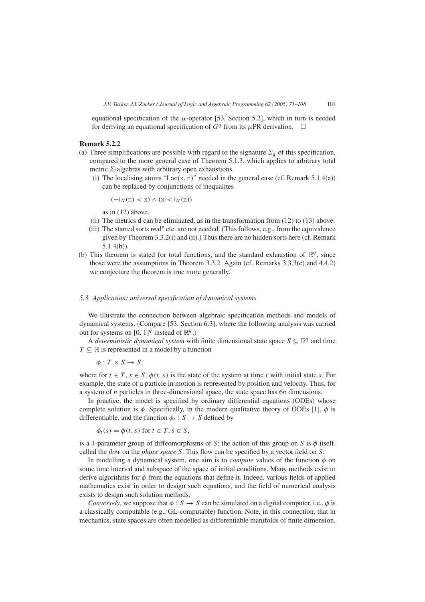equational specification of the  $\mu$ -operator [53, Section 5.2], which in turn is needed for deriving an equational specification of  $G<sup>q</sup>$  from its  $\mu$ PR derivation.  $\Box$ 

#### **Remark 5.2.2**

- (a) Three simplifications are possible with regard to the signature  $\Sigma_q$  of this specification, compared to the more general case of Theorem 5.1.3, which applies to arbitrary total metric  $\Sigma$ -algebras with arbitrary open exhaustions.
	- (i) The localising atoms "Loc $(x, n)$ " needed in the general case (cf. Remark 5.1.4(a)) can be replaced by conjunctions of inequalites

$$
(-i_N(n) < x) \land (x < i_N(n))
$$

as in (12) above.

- (ii) The metrics d can be eliminated, as in the transformation from  $(12)$  to  $(13)$  above.
- (iii) The starred sorts real<sup>∗</sup> etc. are not needed. (This follows, e.g., from the equivalence given by Theorem 3.3.2(i) and (ii).) Thus there are no hidden sorts here (cf. Remark 5.1.4(b)).
- (b) This theorem is stated for total functions, and the standard exhaustion of  $\mathbb{R}^q$ , since those were the assumptions in Theorem 3.3.2. Again (cf. Remarks 3.3.3(c) and 4.4.2) we conjecture the theorem is true more generally.

#### *5.3. Application: universal specification of dynamical systems*

We illustrate the connection between algebraic specification methods and models of dynamical systems. (Compare [53, Section 6.3], where the following analysis was carried out for systems on  $[0, 1]^q$  instead of  $\mathbb{R}^q$ .)

A *deterministic dynamical system* with finite dimensional state space  $S \subseteq \mathbb{R}^q$  and time  $T \subseteq \mathbb{R}$  is represented in a model by a function

$$
\phi: T \times S \to S,
$$

where for  $t \in T$ ,  $s \in S$ ,  $\phi(t, s)$  is the state of the system at time *t* with initial state *s*. For example, the state of a particle in motion is represented by position and velocity. Thus, for a system of *n* particles in three-dimensional space, the state space has 6*n* dimensions.

In practice, the model is specified by ordinary differential equations (ODEs) whose complete solution is  $\phi$ . Specifically, in the modern qualitative theory of ODEs [1],  $\phi$  is differentiable, and the function  $\phi_t : S \to S$  defined by

$$
\phi_t(s) = \phi(t, s) \text{ for } t \in T, s \in S,
$$

is a 1-parameter group of diffeomorphisms of *S*; the action of this group on *S* is *φ* itself, called the *flow* on the *phase space S*. This flow can be specified by a vector field on *S*.

In modelling a dynamical system, one aim is to *compute* values of the function  $\phi$  on some time interval and subspace of the space of initial conditions. Many methods exist to derive algorithms for *φ* from the equations that define it. Indeed, various fields of applied mathematics exist in order to design such equations, and the field of numerical analysis exists to design such solution methods.

*Conversely*, we suppose that  $\phi : S \to S$  can be simulated on a digital computer, i.e.,  $\phi$  is a classically computable (e.g., GL-computable) function. Note, in this connection, that in mechanics, state spaces are often modelled as differentiable manifolds of finite dimension.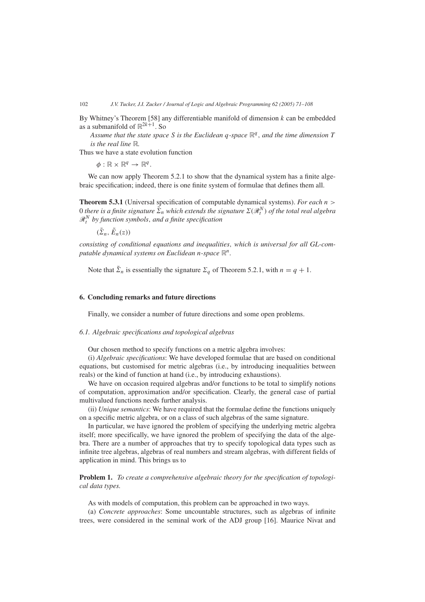By Whitney's Theorem [58] any differentiable manifold of dimension *k* can be embedded as a submanifold of  $\mathbb{R}^{2k+1}$ . So

*Assume that the state space S is the Euclidean q-space* R*<sup>q</sup> , and the time dimension T is the real line* R*.*

Thus we have a state evolution function

 $\phi: \mathbb{R} \times \mathbb{R}^q \to \mathbb{R}^q$ .

We can now apply Theorem 5.2.1 to show that the dynamical system has a finite algebraic specification; indeed, there is one finite system of formulae that defines them all.

**Theorem 5.3.1** (Universal specification of computable dynamical systems). *For each n >* 0 there is a finite signature  $\tilde{\Sigma}_n$  which extends the signature  $\Sigma(\mathscr{R}_t^N)$  of the total real algebra R*<sup>N</sup> <sup>t</sup> by function symbols, and a finite specification*

 $(\tilde{\Sigma}_n, \tilde{E}_n(z))$ 

*consisting of conditional equations and inequalities, which is universal for all GL-computable dynamical systems on Euclidean n-space*  $\mathbb{R}^n$ .

Note that  $\tilde{\Sigma}_n$  is essentially the signature  $\sum_a$  of Theorem 5.2.1, with  $n = q + 1$ .

#### **6. Concluding remarks and future directions**

Finally, we consider a number of future directions and some open problems.

# *6.1. Algebraic specifications and topological algebras*

Our chosen method to specify functions on a metric algebra involves:

(i) *Algebraic specifications*: We have developed formulae that are based on conditional equations, but customised for metric algebras (i.e., by introducing inequalities between reals) or the kind of function at hand (i.e., by introducing exhaustions).

We have on occasion required algebras and/or functions to be total to simplify notions of computation, approximation and/or specification. Clearly, the general case of partial multivalued functions needs further analysis.

(ii) *Unique semantics*: We have required that the formulae define the functions uniquely on a specific metric algebra, or on a class of such algebras of the same signature.

In particular, we have ignored the problem of specifying the underlying metric algebra itself; more specifically, we have ignored the problem of specifying the data of the algebra. There are a number of approaches that try to specify topological data types such as infinite tree algebras, algebras of real numbers and stream algebras, with different fields of application in mind. This brings us to

**Problem 1.** *To create a comprehensive algebraic theory for the specification of topological data types.*

As with models of computation, this problem can be approached in two ways.

(a) *Concrete approaches*: Some uncountable structures, such as algebras of infinite trees, were considered in the seminal work of the ADJ group [16]. Maurice Nivat and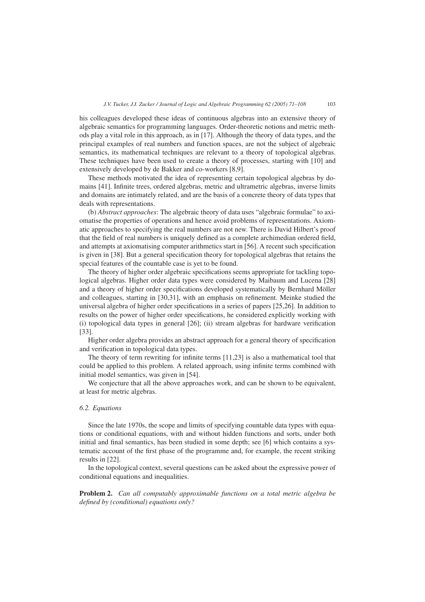his colleagues developed these ideas of continuous algebras into an extensive theory of algebraic semantics for programming languages. Order-theoretic notions and metric methods play a vital role in this approach, as in [17]. Although the theory of data types, and the principal examples of real numbers and function spaces, are not the subject of algebraic semantics, its mathematical techniques are relevant to a theory of topological algebras. These techniques have been used to create a theory of processes, starting with [10] and extensively developed by de Bakker and co-workers [8,9].

These methods motivated the idea of representing certain topological algebras by domains [41]. Infinite trees, ordered algebras, metric and ultrametric algebras, inverse limits and domains are intimately related, and are the basis of a concrete theory of data types that deals with representations.

(b) *Abstract approaches*: The algebraic theory of data uses "algebraic formulae" to axiomatise the properties of operations and hence avoid problems of representations. Axiomatic approaches to specifying the real numbers are not new. There is David Hilbert's proof that the field of real numbers is uniquely defined as a complete archimedian ordered field, and attempts at axiomatising computer arithmetics start in [56]. A recent such specification is given in [38]. But a general specification theory for topological algebras that retains the special features of the countable case is yet to be found.

The theory of higher order algebraic specifications seems appropriate for tackling topological algebras. Higher order data types were considered by Maibaum and Lucena [28] and a theory of higher order specifications developed systematically by Bernhard Möller and colleagues, starting in [30,31], with an emphasis on refinement. Meinke studied the universal algebra of higher order specifications in a series of papers [25,26]. In addition to results on the power of higher order specifications, he considered explicitly working with (i) topological data types in general [26]; (ii) stream algebras for hardware verification [33].

Higher order algebra provides an abstract approach for a general theory of specification and verification in topological data types.

The theory of term rewriting for infinite terms [11,23] is also a mathematical tool that could be applied to this problem. A related approach, using infinite terms combined with initial model semantics, was given in [54].

We conjecture that all the above approaches work, and can be shown to be equivalent, at least for metric algebras.

# *6.2. Equations*

Since the late 1970s, the scope and limits of specifying countable data types with equations or conditional equations, with and without hidden functions and sorts, under both initial and final semantics, has been studied in some depth; see [6] which contains a systematic account of the first phase of the programme and, for example, the recent striking results in [22].

In the topological context, several questions can be asked about the expressive power of conditional equations and inequalities.

**Problem 2.** *Can all computably approximable functions on a total metric algebra be defined by (conditional) equations only?*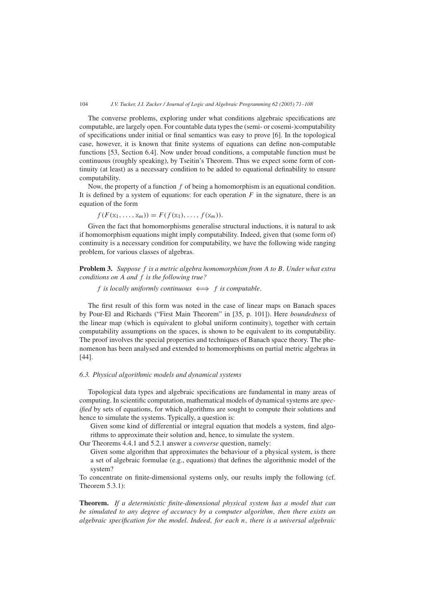The converse problems, exploring under what conditions algebraic specifications are computable, are largely open. For countable data types the (semi- or cosemi-)computability of specifications under initial or final semantics was easy to prove [6]. In the topological case, however, it is known that finite systems of equations can define non-computable functions [53, Section 6.4]. Now under broad conditions, a computable function must be continuous (roughly speaking), by Tseitin's Theorem. Thus we expect some form of continuity (at least) as a necessary condition to be added to equational definability to ensure computability.

Now, the property of a function *f* of being a homomorphism is an equational condition. It is defined by a system of equations: for each operation  $F$  in the signature, there is an equation of the form

$$
f(F(\mathbf{x}_1,\ldots,\mathbf{x}_m))=F(f(\mathbf{x}_1),\ldots,f(\mathbf{x}_m)).
$$

Given the fact that homomorphisms generalise structural inductions, it is natural to ask if homomorphism equations might imply computability. Indeed, given that (some form of) continuity is a necessary condition for computability, we have the following wide ranging problem, for various classes of algebras.

**Problem 3.** *Suppose f is a metric algebra homomorphism from A to B. Under what extra conditions on A and f is the following true?*

### *f* is locally uniformly continuous  $\iff$  *f* is computable.

The first result of this form was noted in the case of linear maps on Banach spaces by Pour-El and Richards ("First Main Theorem" in [35, p. 101]). Here *boundedness* of the linear map (which is equivalent to global uniform continuity), together with certain computability assumptions on the spaces, is shown to be equivalent to its computability. The proof involves the special properties and techniques of Banach space theory. The phenomenon has been analysed and extended to homomorphisms on partial metric algebras in [44].

# *6.3. Physical algorithmic models and dynamical systems*

Topological data types and algebraic specifications are fundamental in many areas of computing. In scientific computation, mathematical models of dynamical systems are *specified* by sets of equations, for which algorithms are sought to compute their solutions and hence to simulate the systems. Typically, a question is:

Given some kind of differential or integral equation that models a system, find algorithms to approximate their solution and, hence, to simulate the system.

Our Theorems 4.4.1 and 5.2.1 answer a *converse* question, namely:

Given some algorithm that approximates the behaviour of a physical system, is there a set of algebraic formulae (e.g., equations) that defines the algorithmic model of the system?

To concentrate on finite-dimensional systems only, our results imply the following (cf. Theorem 5.3.1):

**Theorem.** *If a deterministic finite-dimensional physical system has a model that can be simulated to any degree of accuracy by a computer algorithm, then there exists an algebraic specification for the model. Indeed, for each n, there is a universal algebraic*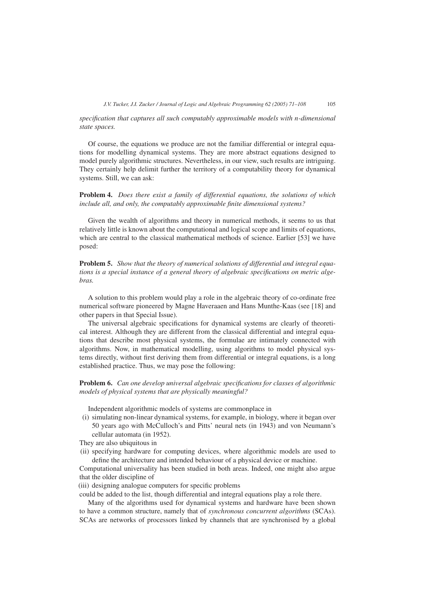*specification that captures all such computably approximable models with n-dimensional state spaces.*

Of course, the equations we produce are not the familiar differential or integral equations for modelling dynamical systems. They are more abstract equations designed to model purely algorithmic structures. Nevertheless, in our view, such results are intriguing. They certainly help delimit further the territory of a computability theory for dynamical systems. Still, we can ask:

**Problem 4.** *Does there exist a family of differential equations, the solutions of which include all, and only, the computably approximable finite dimensional systems?*

Given the wealth of algorithms and theory in numerical methods, it seems to us that relatively little is known about the computational and logical scope and limits of equations, which are central to the classical mathematical methods of science. Earlier [53] we have posed:

**Problem 5.** *Show that the theory of numerical solutions of differential and integral equations is a special instance of a general theory of algebraic specifications on metric algebras.*

A solution to this problem would play a role in the algebraic theory of co-ordinate free numerical software pioneered by Magne Haveraaen and Hans Munthe-Kaas (see [18] and other papers in that Special Issue).

The universal algebraic specifications for dynamical systems are clearly of theoretical interest. Although they are different from the classical differential and integral equations that describe most physical systems, the formulae are intimately connected with algorithms. Now, in mathematical modelling, using algorithms to model physical systems directly, without first deriving them from differential or integral equations, is a long established practice. Thus, we may pose the following:

**Problem 6.** *Can one develop universal algebraic specifications for classes of algorithmic models of physical systems that are physically meaningful?*

Independent algorithmic models of systems are commonplace in

(i) simulating non-linear dynamical systems, for example, in biology, where it began over 50 years ago with McCulloch's and Pitts' neural nets (in 1943) and von Neumann's cellular automata (in 1952).

They are also ubiquitous in

(ii) specifying hardware for computing devices, where algorithmic models are used to define the architecture and intended behaviour of a physical device or machine.

Computational universality has been studied in both areas. Indeed, one might also argue that the older discipline of

(iii) designing analogue computers for specific problems

could be added to the list, though differential and integral equations play a role there.

Many of the algorithms used for dynamical systems and hardware have been shown to have a common structure, namely that of *synchronous concurrent algorithms* (SCAs). SCAs are networks of processors linked by channels that are synchronised by a global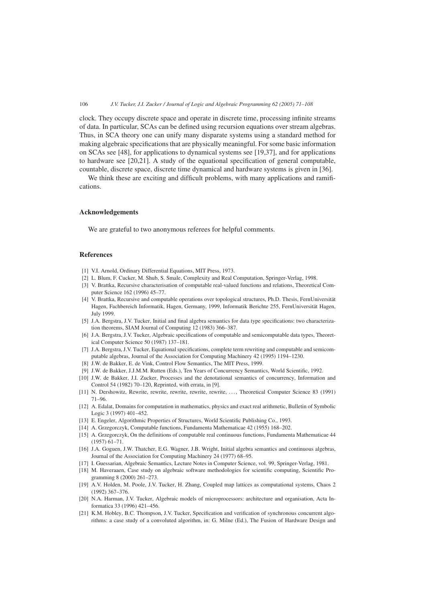clock. They occupy discrete space and operate in discrete time, processing infinite streams of data. In particular, SCAs can be defined using recursion equations over stream algebras. Thus, in SCA theory one can unify many disparate systems using a standard method for making algebraic specifications that are physically meaningful. For some basic information on SCAs see [48], for applications to dynamical systems see [19,37], and for applications to hardware see [20,21]. A study of the equational specification of general computable, countable, discrete space, discrete time dynamical and hardware systems is given in [36].

We think these are exciting and difficult problems, with many applications and ramifications.

#### **Acknowledgements**

We are grateful to two anonymous referees for helpful comments.

#### **References**

- [1] V.I. Arnold, Ordinary Differential Equations, MIT Press, 1973.
- [2] L. Blum, F. Cucker, M. Shub, S. Smale, Complexity and Real Computation, Springer-Verlag, 1998.
- [3] V. Brattka, Recursive characterisation of computable real-valued functions and relations, Theoretical Computer Science 162 (1996) 45–77.
- [4] V. Brattka, Recursive and computable operations over topological structures, Ph.D. Thesis, FernUniversität Hagen, Fachbereich Informatik, Hagen, Germany, 1999, Informatik Berichte 255, FernUniversität Hagen, July 1999.
- [5] J.A. Bergstra, J.V. Tucker, Initial and final algebra semantics for data type specifications: two characterization theorems, SIAM Journal of Computing 12 (1983) 366–387.
- [6] J.A. Bergstra, J.V. Tucker, Algebraic specifications of computable and semicomputable data types, Theoretical Computer Science 50 (1987) 137–181.
- [7] J.A. Bergstra, J.V. Tucker, Equational specifications, complete term rewriting and computable and semicomputable algebras, Journal of the Association for Computing Machinery 42 (1995) 1194–1230.
- [8] J.W. de Bakker, E. de Vink, Control Flow Semantics, The MIT Press, 1999.
- [9] J.W. de Bakker, J.J.M.M. Rutten (Eds.), Ten Years of Concurrency Semantics, World Scientific, 1992.
- [10] J.W. de Bakker, J.I. Zucker, Processes and the denotational semantics of concurrency, Information and Control 54 (1982) 70–120, Reprinted, with errata, in [9].
- [11] N. Dershowitz, Rewrite, rewrite, rewrite, rewrite, rewrite, ..., Theoretical Computer Science 83 (1991) 71–96.
- [12] A. Edalat, Domains for computation in mathematics, physics and exact real arithmetic, Bulletin of Symbolic Logic 3 (1997) 401–452.
- [13] E. Engeler, Algorithmic Properties of Structures, World Scientific Publishing Co., 1993.
- [14] A. Grzegorczyk, Computable functions, Fundamenta Mathematicae 42 (1955) 168–202.
- [15] A. Grzegorczyk, On the definitions of computable real continuous functions, Fundamenta Mathematicae 44 (1957) 61–71.
- [16] J.A. Goguen, J.W. Thatcher, E.G. Wagner, J.B. Wright, Initial algebra semantics and continuous algebras, Journal of the Association for Computing Machinery 24 (1977) 68–95.
- [17] I. Guessarian, Algebraic Semantics, Lecture Notes in Computer Science, vol. 99, Springer-Verlag, 1981.
- [18] M. Haveraaen, Case study on algebraic software methodologies for scientific computing, Scientific Programming 8 (2000) 261–273.
- [19] A.V. Holden, M. Poole, J.V. Tucker, H. Zhang, Coupled map lattices as computational systems, Chaos 2 (1992) 367–376.
- [20] N.A. Harman, J.V. Tucker, Algebraic models of microprocessors: architecture and organisation, Acta Informatica 33 (1996) 421–456.
- [21] K.M. Hobley, B.C. Thompson, J.V. Tucker, Specification and verification of synchronous concurrent algorithms: a case study of a convoluted algorithm, in: G. Milne (Ed.), The Fusion of Hardware Design and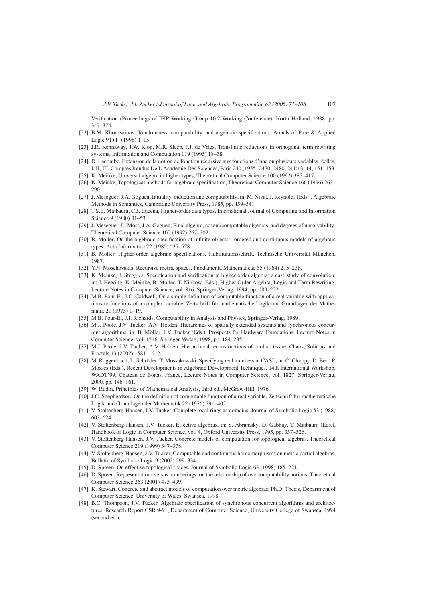Verification (Proceedings of IFIP Working Group 10.2 Working Conference), North Holland, 1988, pp. 347–374.

- [22] B.M. Khoussainov, Randomness, computability, and algebraic specifications, Annals of Pure & Applied Logic 91 (1) (1998) 1–15.
- [23] J.R. Kennaway, J.W. Klop, M.R. Sleep, F.J. de Vries, Transfinite reductions in orthogonal term rewriting systems, Information and Computation 119 (1995) 18–38.
- [24] D. Lacombe, Extension de la notion de fonction récursive aux fonctions d'une ou plusieurs variables réelles, I, II, III, Comptes Rendus De L Academie Des Sciences, Paris 240 (1955) 2470–2480, 241:13–14, 151–153.
- [25] K. Meinke, Universal algebra in higher types, Theoretical Computer Science 100 (1992) 385–417.
- [26] K. Meinke, Topological methods for algebraic specification, Theoretical Computer Science 166 (1996) 263– 290.
- [27] J. Meseguer, J.A. Goguen, Initiality, induction and computability, in: M. Nivat, J. Reynolds (Eds.), Algebraic Methods in Semantics, Cambridge University Press, 1985, pp. 459–541.
- [28] T.S.E. Maibaum, C.J. Lucena, Higher-order data types, International Journal of Computing and Information Science 9 (1980) 31–53.
- [29] J. Meseguer, L. Moss, J.A. Goguen, Final algebra, cosemicomputable algebras, and degrees of unsolvability, Theoretical Computer Science 100 (1992) 267–302.
- [30] B. Möller, On the algebraic specification of infinite objects––ordered and continuous models of algebraic types, Acta Informatica 22 (1985) 537–578.
- [31] B. Möller, Higher-order algebraic specifications, Habilitationsschrift, Technische Universität München, 1987.
- [32] Y.N. Moschovakis, Recursive metric spaces, Fundamenta Mathematicae 55 (1964) 215–238.
- [33] K. Meinke, J. Steggles, Specification and verification in higher order algebra: a case study of convolution, in: J. Heering, K. Meinke, B. Möller, T. Nipkow (Eds.), Higher Order Algebra, Logic and Term Rewriting, Lecture Notes in Computer Science, vol. 816, Springer-Verlag, 1994, pp. 189–222.
- [34] M.B. Pour-El, J.C. Caldwell, On a simple definition of computable function of a real variable with applications to functions of a complex variable, Zeitschrift für mathematische Logik und Grundlagen der Mathematik 21 (1975) 1–19.
- [35] M.B. Pour-El, J.I. Richards, Computability in Analysis and Physics, Springer-Verlag, 1989.
- [36] M.J. Poole, J.V. Tucker, A.V. Holden, Hierarchies of spatially extended systems and synchronous concurrent algorithms, in: B. Möller, J.V. Tucker (Eds.), Prospects for Hardware Foundations, Lecture Notes in Computer Science, vol. 1546, Springer-Verlag, 1998, pp. 184–235.
- [37] M.J. Poole, J.V. Tucker, A.V. Holden, Hierarchical reconstructions of cardiac tissue, Chaos, Solitons and Fractals 13 (2002) 1581–1612.
- [38] M. Roggenbach, L. Schröder, T. Mossakowski, Specifying real numbers in CASL, in: C. Choppy, D. Bert, P. Mosses (Eds.), Recent Developments in Algebraic Development Techniques. 14th International Workshop, WADT'99, Chateau de Bonas, France, Lecture Notes in Computer Science, vol. 1827, Springer-Verlag, 2000, pp. 146–161.
- [39] W. Rudin, Principles of Mathematical Analysis, third ed., McGraw-Hill, 1976.
- [40] J.C. Shepherdson, On the definition of computable function of a real variable, Zeitschrift für mathematische Logik und Grundlagen der Mathematik 22 (1976) 391–402.
- [41] V. Stoltenberg-Hansen, J.V. Tucker, Complete local rings as domains, Journal of Symbolic Logic 53 (1988) 603–624.
- [42] V. Stoltenberg-Hansen, J.V. Tucker, Effective algebras, in: S. Abramsky, D. Gabbay, T. Maibaum (Eds.), Handbook of Logic in Computer Science, vol. 4, Oxford University Press, 1995, pp. 357–526.
- [43] V. Stoltenberg-Hansen, J.V. Tucker, Concrete models of computation for topological algebras, Theoretical Computer Science 219 (1999) 347–378.
- [44] V. Stoltenberg-Hansen, J.V. Tucker, Computable and continuous homomorphisms on metric partial algebras, Bulletin of Symbolic Logic 9 (2003) 299–334.
- [45] D. Spreen, On effective topological spaces, Journal of Symbolic Logic 63 (1998) 185–221.
- [46] D. Spreen, Representations versus numberings: on the relationship of two computability notions, Theoretical Computer Science 263 (2001) 473–499.
- [47] K. Stewart, Concrete and abstract models of computation over metric algebras, Ph.D. Thesis, Department of Computer Science, University of Wales, Swansea, 1998.
- [48] B.C. Thompson, J.V. Tucker, Algebraic specification of synchronous concurrent algorithms and architectures, Research Report CSR 9-91, Department of Computer Science, University College of Swansea, 1994 (second ed.).